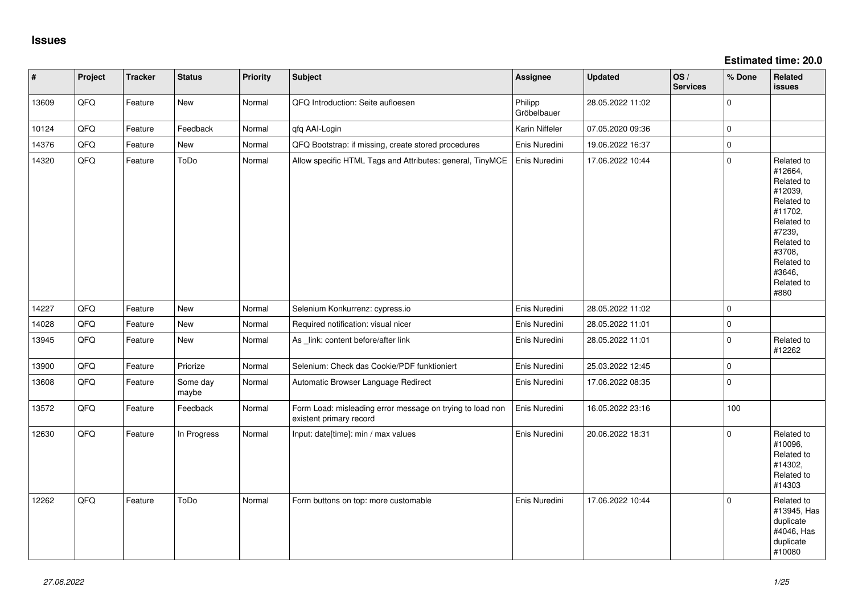| $\vert$ # | Project | <b>Tracker</b> | <b>Status</b>     | Priority | <b>Subject</b>                                                                       | <b>Assignee</b>        | <b>Updated</b>   | OS/<br><b>Services</b> | % Done         | Related<br>issues                                                                                                                                                     |
|-----------|---------|----------------|-------------------|----------|--------------------------------------------------------------------------------------|------------------------|------------------|------------------------|----------------|-----------------------------------------------------------------------------------------------------------------------------------------------------------------------|
| 13609     | QFQ     | Feature        | New               | Normal   | QFQ Introduction: Seite aufloesen                                                    | Philipp<br>Gröbelbauer | 28.05.2022 11:02 |                        | $\overline{0}$ |                                                                                                                                                                       |
| 10124     | QFQ     | Feature        | Feedback          | Normal   | qfq AAI-Login                                                                        | Karin Niffeler         | 07.05.2020 09:36 |                        | $\overline{0}$ |                                                                                                                                                                       |
| 14376     | QFQ     | Feature        | <b>New</b>        | Normal   | QFQ Bootstrap: if missing, create stored procedures                                  | Enis Nuredini          | 19.06.2022 16:37 |                        | $\pmb{0}$      |                                                                                                                                                                       |
| 14320     | QFQ     | Feature        | ToDo              | Normal   | Allow specific HTML Tags and Attributes: general, TinyMCE                            | Enis Nuredini          | 17.06.2022 10:44 |                        | $\mathbf 0$    | Related to<br>#12664,<br>Related to<br>#12039,<br>Related to<br>#11702,<br>Related to<br>#7239,<br>Related to<br>#3708,<br>Related to<br>#3646,<br>Related to<br>#880 |
| 14227     | QFQ     | Feature        | <b>New</b>        | Normal   | Selenium Konkurrenz: cypress.io                                                      | Enis Nuredini          | 28.05.2022 11:02 |                        | $\mathbf 0$    |                                                                                                                                                                       |
| 14028     | QFQ     | Feature        | New               | Normal   | Required notification: visual nicer                                                  | Enis Nuredini          | 28.05.2022 11:01 |                        | $\pmb{0}$      |                                                                                                                                                                       |
| 13945     | QFQ     | Feature        | New               | Normal   | As _link: content before/after link                                                  | Enis Nuredini          | 28.05.2022 11:01 |                        | $\pmb{0}$      | Related to<br>#12262                                                                                                                                                  |
| 13900     | QFQ     | Feature        | Priorize          | Normal   | Selenium: Check das Cookie/PDF funktioniert                                          | Enis Nuredini          | 25.03.2022 12:45 |                        | $\overline{0}$ |                                                                                                                                                                       |
| 13608     | QFQ     | Feature        | Some day<br>maybe | Normal   | Automatic Browser Language Redirect                                                  | Enis Nuredini          | 17.06.2022 08:35 |                        | $\overline{0}$ |                                                                                                                                                                       |
| 13572     | QFQ     | Feature        | Feedback          | Normal   | Form Load: misleading error message on trying to load non<br>existent primary record | Enis Nuredini          | 16.05.2022 23:16 |                        | 100            |                                                                                                                                                                       |
| 12630     | QFQ     | Feature        | In Progress       | Normal   | Input: date[time]: min / max values                                                  | Enis Nuredini          | 20.06.2022 18:31 |                        | $\Omega$       | Related to<br>#10096,<br>Related to<br>#14302,<br>Related to<br>#14303                                                                                                |
| 12262     | QFQ     | Feature        | ToDo              | Normal   | Form buttons on top: more customable                                                 | Enis Nuredini          | 17.06.2022 10:44 |                        | $\Omega$       | Related to<br>#13945, Has<br>duplicate<br>#4046, Has<br>duplicate<br>#10080                                                                                           |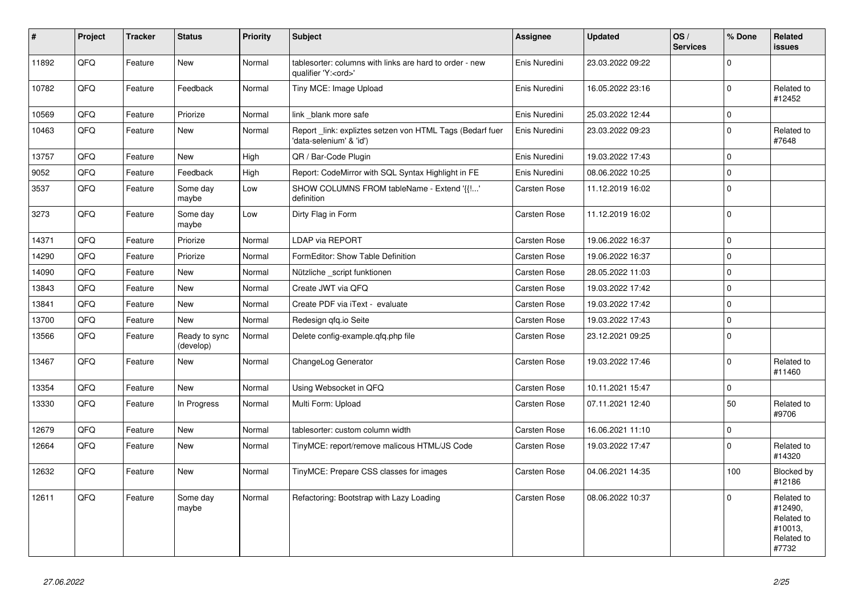| $\vert$ # | <b>Project</b> | <b>Tracker</b> | <b>Status</b>              | <b>Priority</b> | <b>Subject</b>                                                                        | Assignee            | <b>Updated</b>   | OS/<br><b>Services</b> | % Done      | <b>Related</b><br><b>issues</b>                                       |
|-----------|----------------|----------------|----------------------------|-----------------|---------------------------------------------------------------------------------------|---------------------|------------------|------------------------|-------------|-----------------------------------------------------------------------|
| 11892     | QFQ            | Feature        | <b>New</b>                 | Normal          | tablesorter: columns with links are hard to order - new<br>qualifier 'Y: <ord>'</ord> | Enis Nuredini       | 23.03.2022 09:22 |                        | $\Omega$    |                                                                       |
| 10782     | QFQ            | Feature        | Feedback                   | Normal          | Tiny MCE: Image Upload                                                                | Enis Nuredini       | 16.05.2022 23:16 |                        | $\Omega$    | Related to<br>#12452                                                  |
| 10569     | QFQ            | Feature        | Priorize                   | Normal          | link _blank more safe                                                                 | Enis Nuredini       | 25.03.2022 12:44 |                        | $\mathbf 0$ |                                                                       |
| 10463     | QFQ            | Feature        | New                        | Normal          | Report _link: expliztes setzen von HTML Tags (Bedarf fuer<br>'data-selenium' & 'id')  | Enis Nuredini       | 23.03.2022 09:23 |                        | $\Omega$    | Related to<br>#7648                                                   |
| 13757     | QFQ            | Feature        | New                        | High            | QR / Bar-Code Plugin                                                                  | Enis Nuredini       | 19.03.2022 17:43 |                        | $\mathbf 0$ |                                                                       |
| 9052      | QFQ            | Feature        | Feedback                   | High            | Report: CodeMirror with SQL Syntax Highlight in FE                                    | Enis Nuredini       | 08.06.2022 10:25 |                        | $\mathbf 0$ |                                                                       |
| 3537      | QFQ            | Feature        | Some day<br>maybe          | Low             | SHOW COLUMNS FROM tableName - Extend '{{!'<br>definition                              | <b>Carsten Rose</b> | 11.12.2019 16:02 |                        | $\mathbf 0$ |                                                                       |
| 3273      | QFQ            | Feature        | Some day<br>maybe          | Low             | Dirty Flag in Form                                                                    | Carsten Rose        | 11.12.2019 16:02 |                        | $\mathbf 0$ |                                                                       |
| 14371     | QFQ            | Feature        | Priorize                   | Normal          | LDAP via REPORT                                                                       | <b>Carsten Rose</b> | 19.06.2022 16:37 |                        | $\mathbf 0$ |                                                                       |
| 14290     | QFQ            | Feature        | Priorize                   | Normal          | FormEditor: Show Table Definition                                                     | Carsten Rose        | 19.06.2022 16:37 |                        | $\mathbf 0$ |                                                                       |
| 14090     | QFQ            | Feature        | New                        | Normal          | Nützliche _script funktionen                                                          | <b>Carsten Rose</b> | 28.05.2022 11:03 |                        | $\Omega$    |                                                                       |
| 13843     | QFQ            | Feature        | New                        | Normal          | Create JWT via QFQ                                                                    | Carsten Rose        | 19.03.2022 17:42 |                        | $\mathbf 0$ |                                                                       |
| 13841     | QFQ            | Feature        | New                        | Normal          | Create PDF via iText - evaluate                                                       | Carsten Rose        | 19.03.2022 17:42 |                        | $\mathbf 0$ |                                                                       |
| 13700     | QFQ            | Feature        | New                        | Normal          | Redesign qfq.io Seite                                                                 | <b>Carsten Rose</b> | 19.03.2022 17:43 |                        | $\mathbf 0$ |                                                                       |
| 13566     | QFQ            | Feature        | Ready to sync<br>(develop) | Normal          | Delete config-example.gfg.php file                                                    | <b>Carsten Rose</b> | 23.12.2021 09:25 |                        | $\mathbf 0$ |                                                                       |
| 13467     | QFQ            | Feature        | <b>New</b>                 | Normal          | ChangeLog Generator                                                                   | Carsten Rose        | 19.03.2022 17:46 |                        | $\Omega$    | Related to<br>#11460                                                  |
| 13354     | QFQ            | Feature        | New                        | Normal          | Using Websocket in QFQ                                                                | Carsten Rose        | 10.11.2021 15:47 |                        | $\mathbf 0$ |                                                                       |
| 13330     | QFQ            | Feature        | In Progress                | Normal          | Multi Form: Upload                                                                    | Carsten Rose        | 07.11.2021 12:40 |                        | 50          | Related to<br>#9706                                                   |
| 12679     | QFQ            | Feature        | New                        | Normal          | tablesorter: custom column width                                                      | Carsten Rose        | 16.06.2021 11:10 |                        | $\mathbf 0$ |                                                                       |
| 12664     | QFQ            | Feature        | <b>New</b>                 | Normal          | TinyMCE: report/remove malicous HTML/JS Code                                          | Carsten Rose        | 19.03.2022 17:47 |                        | $\Omega$    | Related to<br>#14320                                                  |
| 12632     | QFQ            | Feature        | New                        | Normal          | TinyMCE: Prepare CSS classes for images                                               | Carsten Rose        | 04.06.2021 14:35 |                        | 100         | Blocked by<br>#12186                                                  |
| 12611     | QFQ            | Feature        | Some day<br>maybe          | Normal          | Refactoring: Bootstrap with Lazy Loading                                              | <b>Carsten Rose</b> | 08.06.2022 10:37 |                        | $\Omega$    | Related to<br>#12490,<br>Related to<br>#10013,<br>Related to<br>#7732 |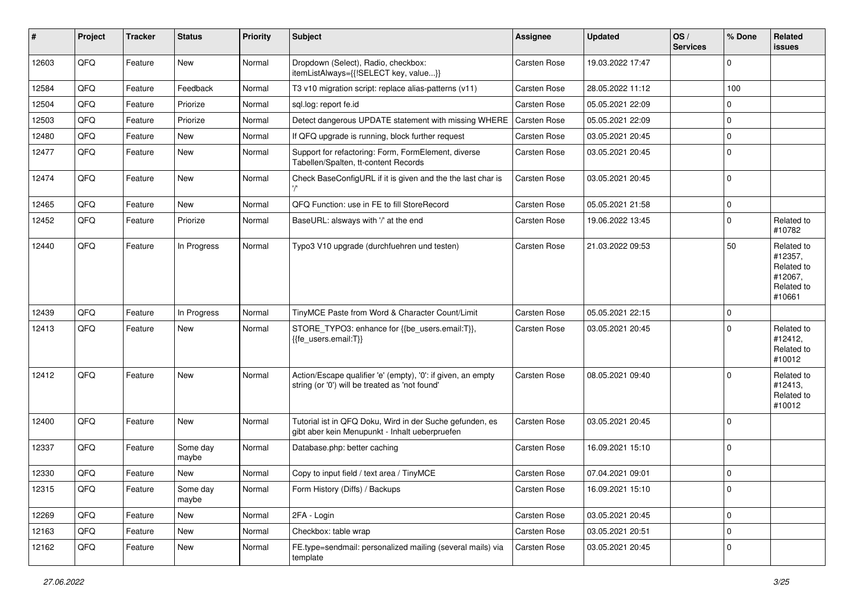| ∦     | Project | <b>Tracker</b> | <b>Status</b>     | <b>Priority</b> | <b>Subject</b>                                                                                                 | Assignee            | <b>Updated</b>   | OS/<br><b>Services</b> | % Done         | Related<br><b>issues</b>                                               |
|-------|---------|----------------|-------------------|-----------------|----------------------------------------------------------------------------------------------------------------|---------------------|------------------|------------------------|----------------|------------------------------------------------------------------------|
| 12603 | QFQ     | Feature        | New               | Normal          | Dropdown (Select), Radio, checkbox:<br>itemListAlways={{!SELECT key, value}}                                   | Carsten Rose        | 19.03.2022 17:47 |                        | $\mathbf 0$    |                                                                        |
| 12584 | QFQ     | Feature        | Feedback          | Normal          | T3 v10 migration script: replace alias-patterns (v11)                                                          | <b>Carsten Rose</b> | 28.05.2022 11:12 |                        | 100            |                                                                        |
| 12504 | QFQ     | Feature        | Priorize          | Normal          | sql.log: report fe.id                                                                                          | <b>Carsten Rose</b> | 05.05.2021 22:09 |                        | $\mathbf 0$    |                                                                        |
| 12503 | QFQ     | Feature        | Priorize          | Normal          | Detect dangerous UPDATE statement with missing WHERE                                                           | <b>Carsten Rose</b> | 05.05.2021 22:09 |                        | $\overline{0}$ |                                                                        |
| 12480 | QFQ     | Feature        | New               | Normal          | If QFQ upgrade is running, block further request                                                               | <b>Carsten Rose</b> | 03.05.2021 20:45 |                        | $\overline{0}$ |                                                                        |
| 12477 | QFQ     | Feature        | New               | Normal          | Support for refactoring: Form, FormElement, diverse<br>Tabellen/Spalten, tt-content Records                    | <b>Carsten Rose</b> | 03.05.2021 20:45 |                        | $\overline{0}$ |                                                                        |
| 12474 | QFQ     | Feature        | <b>New</b>        | Normal          | Check BaseConfigURL if it is given and the the last char is                                                    | <b>Carsten Rose</b> | 03.05.2021 20:45 |                        | $\mathbf 0$    |                                                                        |
| 12465 | QFQ     | Feature        | <b>New</b>        | Normal          | QFQ Function: use in FE to fill StoreRecord                                                                    | <b>Carsten Rose</b> | 05.05.2021 21:58 |                        | $\overline{0}$ |                                                                        |
| 12452 | QFQ     | Feature        | Priorize          | Normal          | BaseURL: alsways with '/' at the end                                                                           | <b>Carsten Rose</b> | 19.06.2022 13:45 |                        | $\overline{0}$ | Related to<br>#10782                                                   |
| 12440 | QFQ     | Feature        | In Progress       | Normal          | Typo3 V10 upgrade (durchfuehren und testen)                                                                    | <b>Carsten Rose</b> | 21.03.2022 09:53 |                        | 50             | Related to<br>#12357,<br>Related to<br>#12067,<br>Related to<br>#10661 |
| 12439 | QFQ     | Feature        | In Progress       | Normal          | TinyMCE Paste from Word & Character Count/Limit                                                                | <b>Carsten Rose</b> | 05.05.2021 22:15 |                        | $\overline{0}$ |                                                                        |
| 12413 | QFQ     | Feature        | New               | Normal          | STORE_TYPO3: enhance for {{be_users.email:T}},<br>{{fe_users.email:T}}                                         | <b>Carsten Rose</b> | 03.05.2021 20:45 |                        | $\overline{0}$ | Related to<br>#12412,<br>Related to<br>#10012                          |
| 12412 | QFQ     | Feature        | New               | Normal          | Action/Escape qualifier 'e' (empty), '0': if given, an empty<br>string (or '0') will be treated as 'not found' | <b>Carsten Rose</b> | 08.05.2021 09:40 |                        | $\overline{0}$ | Related to<br>#12413,<br>Related to<br>#10012                          |
| 12400 | QFQ     | Feature        | <b>New</b>        | Normal          | Tutorial ist in QFQ Doku, Wird in der Suche gefunden, es<br>gibt aber kein Menupunkt - Inhalt ueberpruefen     | <b>Carsten Rose</b> | 03.05.2021 20:45 |                        | $\overline{0}$ |                                                                        |
| 12337 | QFQ     | Feature        | Some day<br>maybe | Normal          | Database.php: better caching                                                                                   | <b>Carsten Rose</b> | 16.09.2021 15:10 |                        | $\overline{0}$ |                                                                        |
| 12330 | QFQ     | Feature        | New               | Normal          | Copy to input field / text area / TinyMCE                                                                      | <b>Carsten Rose</b> | 07.04.2021 09:01 |                        | $\mathbf 0$    |                                                                        |
| 12315 | QFQ     | Feature        | Some day<br>maybe | Normal          | Form History (Diffs) / Backups                                                                                 | Carsten Rose        | 16.09.2021 15:10 |                        | $\overline{0}$ |                                                                        |
| 12269 | QFQ     | Feature        | New               | Normal          | 2FA - Login                                                                                                    | Carsten Rose        | 03.05.2021 20:45 |                        | $\overline{0}$ |                                                                        |
| 12163 | QFQ     | Feature        | New               | Normal          | Checkbox: table wrap                                                                                           | Carsten Rose        | 03.05.2021 20:51 |                        | $\mathbf 0$    |                                                                        |
| 12162 | QFQ     | Feature        | New               | Normal          | FE.type=sendmail: personalized mailing (several mails) via<br>template                                         | Carsten Rose        | 03.05.2021 20:45 |                        | $\overline{0}$ |                                                                        |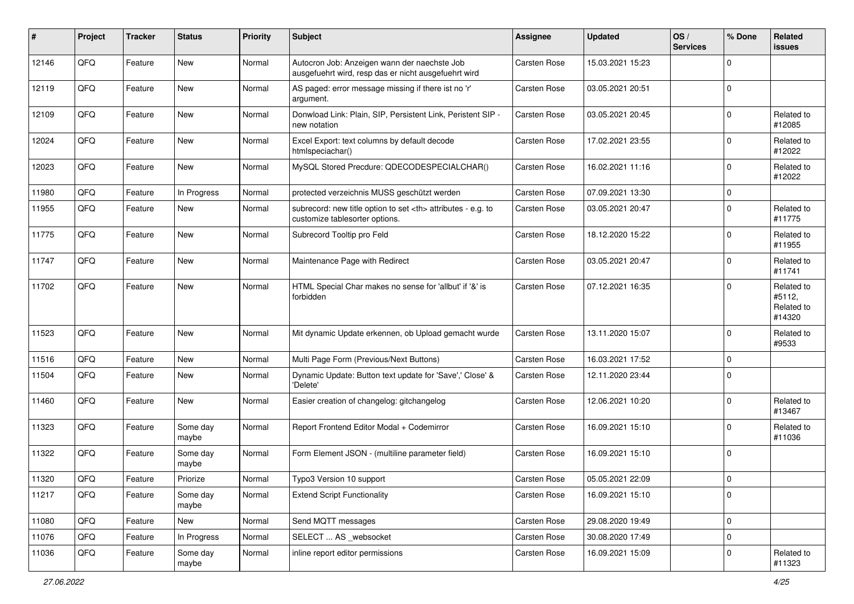| ∦     | Project | <b>Tracker</b> | <b>Status</b>     | <b>Priority</b> | <b>Subject</b>                                                                                       | Assignee                                               | <b>Updated</b>      | OS/<br><b>Services</b> | % Done      | Related<br><b>issues</b>                     |                      |
|-------|---------|----------------|-------------------|-----------------|------------------------------------------------------------------------------------------------------|--------------------------------------------------------|---------------------|------------------------|-------------|----------------------------------------------|----------------------|
| 12146 | QFQ     | Feature        | <b>New</b>        | Normal          | Autocron Job: Anzeigen wann der naechste Job<br>ausgefuehrt wird, resp das er nicht ausgefuehrt wird | Carsten Rose                                           | 15.03.2021 15:23    |                        | $\mathbf 0$ |                                              |                      |
| 12119 | QFQ     | Feature        | New               | Normal          | AS paged: error message missing if there ist no 'r'<br>argument.                                     | <b>Carsten Rose</b>                                    | 03.05.2021 20:51    |                        | $\mathbf 0$ |                                              |                      |
| 12109 | QFQ     | Feature        | New               | Normal          | Donwload Link: Plain, SIP, Persistent Link, Peristent SIP -<br>new notation                          | <b>Carsten Rose</b>                                    | 03.05.2021 20:45    |                        | $\mathbf 0$ | Related to<br>#12085                         |                      |
| 12024 | QFQ     | Feature        | New               | Normal          | Excel Export: text columns by default decode<br>htmlspeciachar()                                     | <b>Carsten Rose</b>                                    | 17.02.2021 23:55    |                        | $\mathbf 0$ | Related to<br>#12022                         |                      |
| 12023 | QFQ     | Feature        | New               | Normal          | MySQL Stored Precdure: QDECODESPECIALCHAR()                                                          | <b>Carsten Rose</b>                                    | 16.02.2021 11:16    |                        | $\mathbf 0$ | Related to<br>#12022                         |                      |
| 11980 | QFQ     | Feature        | In Progress       | Normal          | protected verzeichnis MUSS geschützt werden                                                          | <b>Carsten Rose</b>                                    | 07.09.2021 13:30    |                        | $\mathbf 0$ |                                              |                      |
| 11955 | QFQ     | Feature        | New               | Normal          | subrecord: new title option to set <th> attributes - e.g. to<br/>customize tablesorter options.</th> | attributes - e.g. to<br>customize tablesorter options. | <b>Carsten Rose</b> | 03.05.2021 20:47       |             | $\Omega$                                     | Related to<br>#11775 |
| 11775 | QFQ     | Feature        | New               | Normal          | Subrecord Tooltip pro Feld                                                                           | Carsten Rose                                           | 18.12.2020 15:22    |                        | $\mathbf 0$ | Related to<br>#11955                         |                      |
| 11747 | QFQ     | Feature        | New               | Normal          | Maintenance Page with Redirect                                                                       | Carsten Rose                                           | 03.05.2021 20:47    |                        | $\mathbf 0$ | Related to<br>#11741                         |                      |
| 11702 | QFQ     | Feature        | New               | Normal          | HTML Special Char makes no sense for 'allbut' if '&' is<br>forbidden                                 | Carsten Rose                                           | 07.12.2021 16:35    |                        | $\mathbf 0$ | Related to<br>#5112,<br>Related to<br>#14320 |                      |
| 11523 | QFQ     | Feature        | New               | Normal          | Mit dynamic Update erkennen, ob Upload gemacht wurde                                                 | <b>Carsten Rose</b>                                    | 13.11.2020 15:07    |                        | $\mathbf 0$ | Related to<br>#9533                          |                      |
| 11516 | QFQ     | Feature        | <b>New</b>        | Normal          | Multi Page Form (Previous/Next Buttons)                                                              | <b>Carsten Rose</b>                                    | 16.03.2021 17:52    |                        | $\mathbf 0$ |                                              |                      |
| 11504 | QFQ     | Feature        | New               | Normal          | Dynamic Update: Button text update for 'Save',' Close' &<br>'Delete'                                 | <b>Carsten Rose</b>                                    | 12.11.2020 23:44    |                        | $\Omega$    |                                              |                      |
| 11460 | QFQ     | Feature        | New               | Normal          | Easier creation of changelog: gitchangelog                                                           | Carsten Rose                                           | 12.06.2021 10:20    |                        | $\mathbf 0$ | Related to<br>#13467                         |                      |
| 11323 | QFQ     | Feature        | Some day<br>maybe | Normal          | Report Frontend Editor Modal + Codemirror                                                            | <b>Carsten Rose</b>                                    | 16.09.2021 15:10    |                        | $\mathbf 0$ | Related to<br>#11036                         |                      |
| 11322 | QFQ     | Feature        | Some day<br>maybe | Normal          | Form Element JSON - (multiline parameter field)                                                      | <b>Carsten Rose</b>                                    | 16.09.2021 15:10    |                        | $\mathbf 0$ |                                              |                      |
| 11320 | QFQ     | Feature        | Priorize          | Normal          | Typo3 Version 10 support                                                                             | <b>Carsten Rose</b>                                    | 05.05.2021 22:09    |                        | $\mathbf 0$ |                                              |                      |
| 11217 | QFQ     | Feature        | Some day<br>maybe | Normal          | <b>Extend Script Functionality</b>                                                                   | Carsten Rose                                           | 16.09.2021 15:10    |                        | $\mathbf 0$ |                                              |                      |
| 11080 | QFO     | Feature        | New               | Normal          | Send MQTT messages                                                                                   | Carsten Rose                                           | 29.08.2020 19:49    |                        | $\pmb{0}$   |                                              |                      |
| 11076 | QFO     | Feature        | In Progress       | Normal          | SELECT  AS _websocket                                                                                | Carsten Rose                                           | 30.08.2020 17:49    |                        | $\pmb{0}$   |                                              |                      |
| 11036 | QFQ     | Feature        | Some day<br>maybe | Normal          | inline report editor permissions                                                                     | Carsten Rose                                           | 16.09.2021 15:09    |                        | $\pmb{0}$   | Related to<br>#11323                         |                      |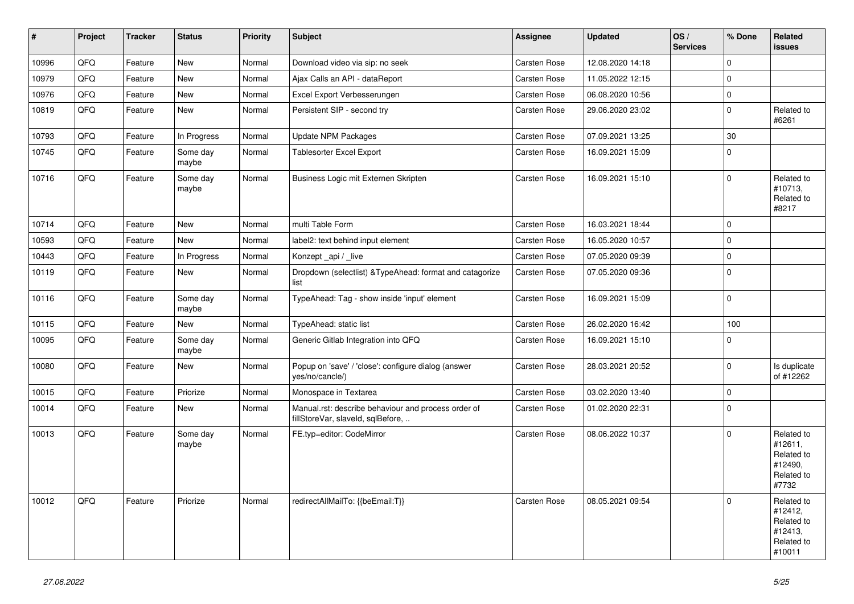| $\vert$ # | Project | <b>Tracker</b> | <b>Status</b>     | <b>Priority</b> | <b>Subject</b>                                                                           | Assignee            | <b>Updated</b>   | OS/<br><b>Services</b> | % Done      | Related<br><b>issues</b>                                               |
|-----------|---------|----------------|-------------------|-----------------|------------------------------------------------------------------------------------------|---------------------|------------------|------------------------|-------------|------------------------------------------------------------------------|
| 10996     | QFQ     | Feature        | <b>New</b>        | Normal          | Download video via sip: no seek                                                          | Carsten Rose        | 12.08.2020 14:18 |                        | $\mathbf 0$ |                                                                        |
| 10979     | QFQ     | Feature        | <b>New</b>        | Normal          | Ajax Calls an API - dataReport                                                           | Carsten Rose        | 11.05.2022 12:15 |                        | $\mathbf 0$ |                                                                        |
| 10976     | QFQ     | Feature        | New               | Normal          | Excel Export Verbesserungen                                                              | Carsten Rose        | 06.08.2020 10:56 |                        | $\pmb{0}$   |                                                                        |
| 10819     | QFQ     | Feature        | New               | Normal          | Persistent SIP - second try                                                              | Carsten Rose        | 29.06.2020 23:02 |                        | $\mathbf 0$ | Related to<br>#6261                                                    |
| 10793     | QFQ     | Feature        | In Progress       | Normal          | Update NPM Packages                                                                      | Carsten Rose        | 07.09.2021 13:25 |                        | 30          |                                                                        |
| 10745     | QFQ     | Feature        | Some day<br>maybe | Normal          | Tablesorter Excel Export                                                                 | <b>Carsten Rose</b> | 16.09.2021 15:09 |                        | $\mathbf 0$ |                                                                        |
| 10716     | QFQ     | Feature        | Some day<br>maybe | Normal          | Business Logic mit Externen Skripten                                                     | <b>Carsten Rose</b> | 16.09.2021 15:10 |                        | $\mathbf 0$ | Related to<br>#10713,<br>Related to<br>#8217                           |
| 10714     | QFQ     | Feature        | <b>New</b>        | Normal          | multi Table Form                                                                         | <b>Carsten Rose</b> | 16.03.2021 18:44 |                        | $\mathbf 0$ |                                                                        |
| 10593     | QFQ     | Feature        | New               | Normal          | label2: text behind input element                                                        | <b>Carsten Rose</b> | 16.05.2020 10:57 |                        | $\mathbf 0$ |                                                                        |
| 10443     | QFQ     | Feature        | In Progress       | Normal          | Konzept api / live                                                                       | Carsten Rose        | 07.05.2020 09:39 |                        | $\mathbf 0$ |                                                                        |
| 10119     | QFQ     | Feature        | New               | Normal          | Dropdown (selectlist) & Type Ahead: format and catagorize<br>list                        | <b>Carsten Rose</b> | 07.05.2020 09:36 |                        | $\pmb{0}$   |                                                                        |
| 10116     | QFQ     | Feature        | Some day<br>maybe | Normal          | TypeAhead: Tag - show inside 'input' element                                             | Carsten Rose        | 16.09.2021 15:09 |                        | $\mathbf 0$ |                                                                        |
| 10115     | QFQ     | Feature        | New               | Normal          | TypeAhead: static list                                                                   | Carsten Rose        | 26.02.2020 16:42 |                        | 100         |                                                                        |
| 10095     | QFQ     | Feature        | Some day<br>maybe | Normal          | Generic Gitlab Integration into QFQ                                                      | Carsten Rose        | 16.09.2021 15:10 |                        | $\Omega$    |                                                                        |
| 10080     | QFQ     | Feature        | New               | Normal          | Popup on 'save' / 'close': configure dialog (answer<br>yes/no/cancle/)                   | <b>Carsten Rose</b> | 28.03.2021 20:52 |                        | $\mathbf 0$ | Is duplicate<br>of #12262                                              |
| 10015     | QFQ     | Feature        | Priorize          | Normal          | Monospace in Textarea                                                                    | Carsten Rose        | 03.02.2020 13:40 |                        | $\pmb{0}$   |                                                                        |
| 10014     | QFQ     | Feature        | New               | Normal          | Manual.rst: describe behaviour and process order of<br>fillStoreVar, slaveId, sqlBefore, | <b>Carsten Rose</b> | 01.02.2020 22:31 |                        | $\mathbf 0$ |                                                                        |
| 10013     | QFQ     | Feature        | Some day<br>maybe | Normal          | FE.typ=editor: CodeMirror                                                                | <b>Carsten Rose</b> | 08.06.2022 10:37 |                        | $\mathbf 0$ | Related to<br>#12611,<br>Related to<br>#12490,<br>Related to<br>#7732  |
| 10012     | QFQ     | Feature        | Priorize          | Normal          | redirectAllMailTo: {{beEmail:T}}                                                         | <b>Carsten Rose</b> | 08.05.2021 09:54 |                        | $\Omega$    | Related to<br>#12412,<br>Related to<br>#12413,<br>Related to<br>#10011 |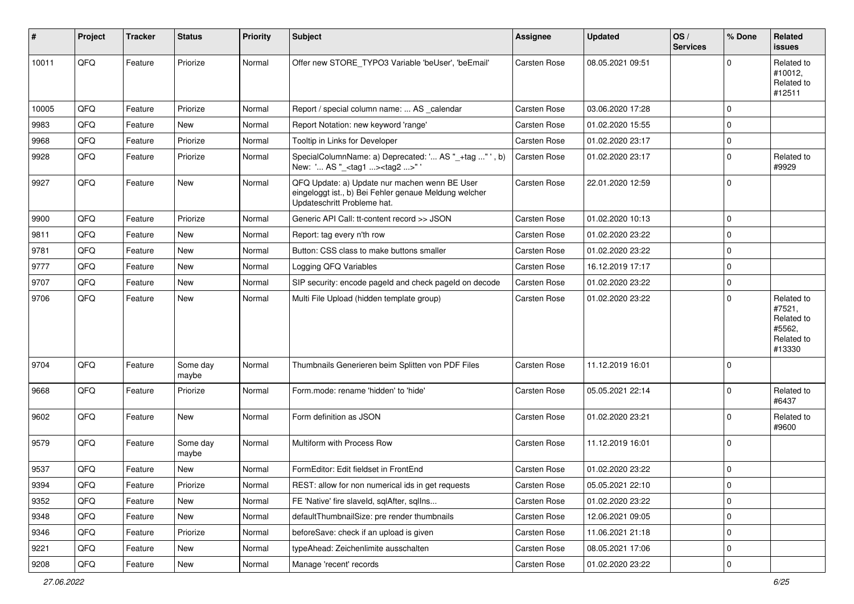| #     | Project        | <b>Tracker</b> | <b>Status</b>     | <b>Priority</b> | Subject                                                                                                                               | <b>Assignee</b>     | <b>Updated</b>   | OS/<br><b>Services</b> | % Done      | Related<br><b>issues</b>                                             |
|-------|----------------|----------------|-------------------|-----------------|---------------------------------------------------------------------------------------------------------------------------------------|---------------------|------------------|------------------------|-------------|----------------------------------------------------------------------|
| 10011 | QFQ            | Feature        | Priorize          | Normal          | Offer new STORE_TYPO3 Variable 'beUser', 'beEmail'                                                                                    | Carsten Rose        | 08.05.2021 09:51 |                        | $\Omega$    | Related to<br>#10012,<br>Related to<br>#12511                        |
| 10005 | QFQ            | Feature        | Priorize          | Normal          | Report / special column name:  AS calendar                                                                                            | <b>Carsten Rose</b> | 03.06.2020 17:28 |                        | $\mathbf 0$ |                                                                      |
| 9983  | QFQ            | Feature        | New               | Normal          | Report Notation: new keyword 'range'                                                                                                  | Carsten Rose        | 01.02.2020 15:55 |                        | $\mathbf 0$ |                                                                      |
| 9968  | QFQ            | Feature        | Priorize          | Normal          | Tooltip in Links for Developer                                                                                                        | Carsten Rose        | 01.02.2020 23:17 |                        | $\mathbf 0$ |                                                                      |
| 9928  | QFQ            | Feature        | Priorize          | Normal          | SpecialColumnName: a) Deprecated: ' AS "_+tag " ', b)<br>New: ' AS "_ <tag1><tag2>"'</tag2></tag1>                                    | Carsten Rose        | 01.02.2020 23:17 |                        | $\Omega$    | Related to<br>#9929                                                  |
| 9927  | QFQ            | Feature        | New               | Normal          | QFQ Update: a) Update nur machen wenn BE User<br>eingeloggt ist., b) Bei Fehler genaue Meldung welcher<br>Updateschritt Probleme hat. | <b>Carsten Rose</b> | 22.01.2020 12:59 |                        | $\mathbf 0$ |                                                                      |
| 9900  | QFQ            | Feature        | Priorize          | Normal          | Generic API Call: tt-content record >> JSON                                                                                           | <b>Carsten Rose</b> | 01.02.2020 10:13 |                        | $\mathbf 0$ |                                                                      |
| 9811  | QFQ            | Feature        | New               | Normal          | Report: tag every n'th row                                                                                                            | Carsten Rose        | 01.02.2020 23:22 |                        | $\Omega$    |                                                                      |
| 9781  | QFQ            | Feature        | New               | Normal          | Button: CSS class to make buttons smaller                                                                                             | <b>Carsten Rose</b> | 01.02.2020 23:22 |                        | $\mathbf 0$ |                                                                      |
| 9777  | QFQ            | Feature        | New               | Normal          | Logging QFQ Variables                                                                                                                 | Carsten Rose        | 16.12.2019 17:17 |                        | $\mathbf 0$ |                                                                      |
| 9707  | QFQ            | Feature        | New               | Normal          | SIP security: encode pageld and check pageld on decode                                                                                | Carsten Rose        | 01.02.2020 23:22 |                        | $\mathbf 0$ |                                                                      |
| 9706  | QFQ            | Feature        | New               | Normal          | Multi File Upload (hidden template group)                                                                                             | Carsten Rose        | 01.02.2020 23:22 |                        | $\Omega$    | Related to<br>#7521,<br>Related to<br>#5562.<br>Related to<br>#13330 |
| 9704  | QFQ            | Feature        | Some day<br>maybe | Normal          | Thumbnails Generieren beim Splitten von PDF Files                                                                                     | Carsten Rose        | 11.12.2019 16:01 |                        | $\Omega$    |                                                                      |
| 9668  | QFQ            | Feature        | Priorize          | Normal          | Form.mode: rename 'hidden' to 'hide'                                                                                                  | Carsten Rose        | 05.05.2021 22:14 |                        | $\Omega$    | Related to<br>#6437                                                  |
| 9602  | QFQ            | Feature        | New               | Normal          | Form definition as JSON                                                                                                               | <b>Carsten Rose</b> | 01.02.2020 23:21 |                        | $\mathbf 0$ | Related to<br>#9600                                                  |
| 9579  | QFQ            | Feature        | Some day<br>maybe | Normal          | Multiform with Process Row                                                                                                            | Carsten Rose        | 11.12.2019 16:01 |                        | $\Omega$    |                                                                      |
| 9537  | QFQ            | Feature        | New               | Normal          | FormEditor: Edit fieldset in FrontEnd                                                                                                 | Carsten Rose        | 01.02.2020 23:22 |                        | $\mathbf 0$ |                                                                      |
| 9394  | $\mathsf{QFQ}$ | Feature        | Priorize          | Normal          | REST: allow for non numerical ids in get requests                                                                                     | Carsten Rose        | 05.05.2021 22:10 |                        | O           |                                                                      |
| 9352  | QFQ            | Feature        | New               | Normal          | FE 'Native' fire slaveld, sqlAfter, sqlIns                                                                                            | Carsten Rose        | 01.02.2020 23:22 |                        | $\mathbf 0$ |                                                                      |
| 9348  | QFQ            | Feature        | New               | Normal          | defaultThumbnailSize: pre render thumbnails                                                                                           | Carsten Rose        | 12.06.2021 09:05 |                        | $\pmb{0}$   |                                                                      |
| 9346  | QFQ            | Feature        | Priorize          | Normal          | beforeSave: check if an upload is given                                                                                               | Carsten Rose        | 11.06.2021 21:18 |                        | $\mathbf 0$ |                                                                      |
| 9221  | QFQ            | Feature        | New               | Normal          | typeAhead: Zeichenlimite ausschalten                                                                                                  | Carsten Rose        | 08.05.2021 17:06 |                        | $\pmb{0}$   |                                                                      |
| 9208  | QFQ            | Feature        | New               | Normal          | Manage 'recent' records                                                                                                               | Carsten Rose        | 01.02.2020 23:22 |                        | $\pmb{0}$   |                                                                      |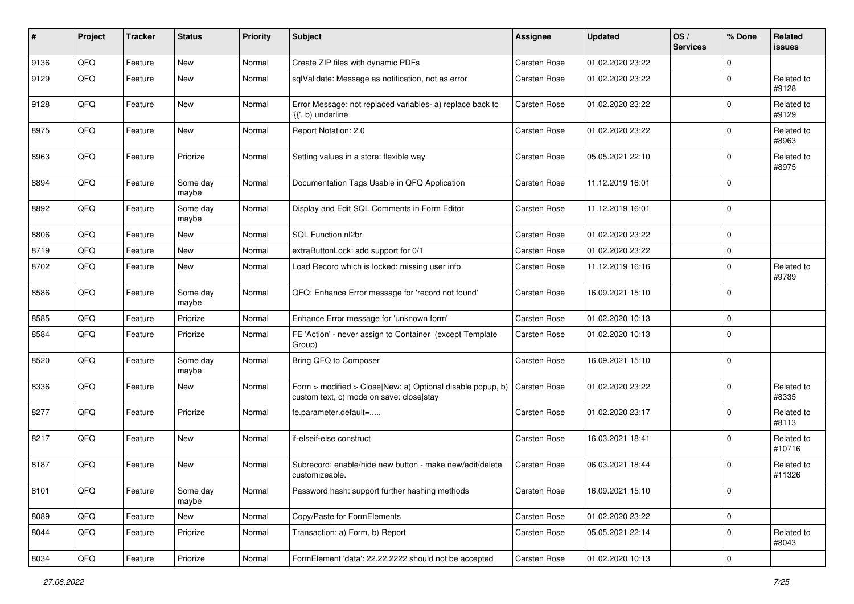| $\pmb{\#}$ | Project | <b>Tracker</b> | <b>Status</b>     | <b>Priority</b> | <b>Subject</b>                                                                                         | Assignee            | <b>Updated</b>   | OS/<br><b>Services</b> | % Done         | Related<br><b>issues</b> |
|------------|---------|----------------|-------------------|-----------------|--------------------------------------------------------------------------------------------------------|---------------------|------------------|------------------------|----------------|--------------------------|
| 9136       | QFQ     | Feature        | <b>New</b>        | Normal          | Create ZIP files with dynamic PDFs                                                                     | Carsten Rose        | 01.02.2020 23:22 |                        | $\mathbf 0$    |                          |
| 9129       | QFQ     | Feature        | New               | Normal          | sqlValidate: Message as notification, not as error                                                     | Carsten Rose        | 01.02.2020 23:22 |                        | $\Omega$       | Related to<br>#9128      |
| 9128       | QFQ     | Feature        | New               | Normal          | Error Message: not replaced variables- a) replace back to<br>'{{', b) underline                        | Carsten Rose        | 01.02.2020 23:22 |                        | $\mathbf 0$    | Related to<br>#9129      |
| 8975       | QFQ     | Feature        | New               | Normal          | Report Notation: 2.0                                                                                   | Carsten Rose        | 01.02.2020 23:22 |                        | $\mathbf 0$    | Related to<br>#8963      |
| 8963       | QFQ     | Feature        | Priorize          | Normal          | Setting values in a store: flexible way                                                                | Carsten Rose        | 05.05.2021 22:10 |                        | $\mathbf 0$    | Related to<br>#8975      |
| 8894       | QFQ     | Feature        | Some day<br>maybe | Normal          | Documentation Tags Usable in QFQ Application                                                           | Carsten Rose        | 11.12.2019 16:01 |                        | $\mathbf 0$    |                          |
| 8892       | QFQ     | Feature        | Some day<br>maybe | Normal          | Display and Edit SQL Comments in Form Editor                                                           | Carsten Rose        | 11.12.2019 16:01 |                        | $\mathbf 0$    |                          |
| 8806       | QFQ     | Feature        | New               | Normal          | SQL Function nl2br                                                                                     | Carsten Rose        | 01.02.2020 23:22 |                        | $\mathbf 0$    |                          |
| 8719       | QFQ     | Feature        | New               | Normal          | extraButtonLock: add support for 0/1                                                                   | Carsten Rose        | 01.02.2020 23:22 |                        | $\mathbf 0$    |                          |
| 8702       | QFQ     | Feature        | New               | Normal          | Load Record which is locked: missing user info                                                         | Carsten Rose        | 11.12.2019 16:16 |                        | $\Omega$       | Related to<br>#9789      |
| 8586       | QFQ     | Feature        | Some day<br>maybe | Normal          | QFQ: Enhance Error message for 'record not found'                                                      | Carsten Rose        | 16.09.2021 15:10 |                        | $\mathbf 0$    |                          |
| 8585       | QFQ     | Feature        | Priorize          | Normal          | Enhance Error message for 'unknown form'                                                               | Carsten Rose        | 01.02.2020 10:13 |                        | $\mathbf 0$    |                          |
| 8584       | QFQ     | Feature        | Priorize          | Normal          | FE 'Action' - never assign to Container (except Template<br>Group)                                     | Carsten Rose        | 01.02.2020 10:13 |                        | $\Omega$       |                          |
| 8520       | QFQ     | Feature        | Some day<br>maybe | Normal          | Bring QFQ to Composer                                                                                  | Carsten Rose        | 16.09.2021 15:10 |                        | $\Omega$       |                          |
| 8336       | QFQ     | Feature        | New               | Normal          | Form > modified > Close New: a) Optional disable popup, b)<br>custom text, c) mode on save: close stay | <b>Carsten Rose</b> | 01.02.2020 23:22 |                        | $\Omega$       | Related to<br>#8335      |
| 8277       | QFQ     | Feature        | Priorize          | Normal          | fe.parameter.default=                                                                                  | Carsten Rose        | 01.02.2020 23:17 |                        | $\Omega$       | Related to<br>#8113      |
| 8217       | QFQ     | Feature        | New               | Normal          | if-elseif-else construct                                                                               | Carsten Rose        | 16.03.2021 18:41 |                        | $\mathbf 0$    | Related to<br>#10716     |
| 8187       | QFQ     | Feature        | New               | Normal          | Subrecord: enable/hide new button - make new/edit/delete<br>customizeable.                             | Carsten Rose        | 06.03.2021 18:44 |                        | $\Omega$       | Related to<br>#11326     |
| 8101       | QFQ     | Feature        | Some day<br>maybe | Normal          | Password hash: support further hashing methods                                                         | Carsten Rose        | 16.09.2021 15:10 |                        | $\overline{0}$ |                          |
| 8089       | QFQ     | Feature        | New               | Normal          | Copy/Paste for FormElements                                                                            | Carsten Rose        | 01.02.2020 23:22 |                        | $\mathbf 0$    |                          |
| 8044       | QFQ     | Feature        | Priorize          | Normal          | Transaction: a) Form, b) Report                                                                        | Carsten Rose        | 05.05.2021 22:14 |                        | $\mathbf 0$    | Related to<br>#8043      |
| 8034       | QFG     | Feature        | Priorize          | Normal          | FormElement 'data': 22.22.2222 should not be accepted                                                  | Carsten Rose        | 01.02.2020 10:13 |                        | $\pmb{0}$      |                          |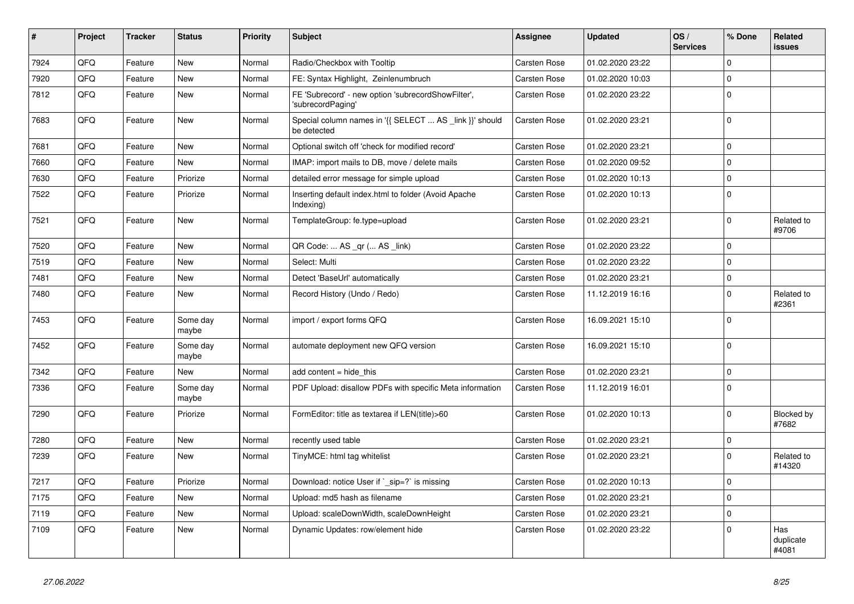| $\vert$ # | Project | <b>Tracker</b> | <b>Status</b>     | <b>Priority</b> | <b>Subject</b>                                                          | Assignee            | <b>Updated</b>   | OS/<br><b>Services</b> | % Done         | Related<br><b>issues</b>  |
|-----------|---------|----------------|-------------------|-----------------|-------------------------------------------------------------------------|---------------------|------------------|------------------------|----------------|---------------------------|
| 7924      | QFQ     | Feature        | <b>New</b>        | Normal          | Radio/Checkbox with Tooltip                                             | <b>Carsten Rose</b> | 01.02.2020 23:22 |                        | $\overline{0}$ |                           |
| 7920      | QFQ     | Feature        | <b>New</b>        | Normal          | FE: Syntax Highlight, Zeinlenumbruch                                    | <b>Carsten Rose</b> | 01.02.2020 10:03 |                        | $\overline{0}$ |                           |
| 7812      | QFQ     | Feature        | <b>New</b>        | Normal          | FE 'Subrecord' - new option 'subrecordShowFilter',<br>'subrecordPaging' | Carsten Rose        | 01.02.2020 23:22 |                        | $\overline{0}$ |                           |
| 7683      | QFQ     | Feature        | <b>New</b>        | Normal          | Special column names in '{{ SELECT  AS _link }}' should<br>be detected  | <b>Carsten Rose</b> | 01.02.2020 23:21 |                        | $\overline{0}$ |                           |
| 7681      | QFQ     | Feature        | New               | Normal          | Optional switch off 'check for modified record'                         | Carsten Rose        | 01.02.2020 23:21 |                        | $\overline{0}$ |                           |
| 7660      | QFQ     | Feature        | New               | Normal          | IMAP: import mails to DB, move / delete mails                           | Carsten Rose        | 01.02.2020 09:52 |                        | $\overline{0}$ |                           |
| 7630      | QFQ     | Feature        | Priorize          | Normal          | detailed error message for simple upload                                | <b>Carsten Rose</b> | 01.02.2020 10:13 |                        | $\overline{0}$ |                           |
| 7522      | QFQ     | Feature        | Priorize          | Normal          | Inserting default index.html to folder (Avoid Apache<br>Indexing)       | Carsten Rose        | 01.02.2020 10:13 |                        | $\overline{0}$ |                           |
| 7521      | QFQ     | Feature        | <b>New</b>        | Normal          | TemplateGroup: fe.type=upload                                           | Carsten Rose        | 01.02.2020 23:21 |                        | $\overline{0}$ | Related to<br>#9706       |
| 7520      | QFQ     | Feature        | <b>New</b>        | Normal          | QR Code:  AS _qr ( AS _link)                                            | <b>Carsten Rose</b> | 01.02.2020 23:22 |                        | $\overline{0}$ |                           |
| 7519      | QFQ     | Feature        | <b>New</b>        | Normal          | Select: Multi                                                           | Carsten Rose        | 01.02.2020 23:22 |                        | $\mathbf 0$    |                           |
| 7481      | QFQ     | Feature        | <b>New</b>        | Normal          | Detect 'BaseUrl' automatically                                          | Carsten Rose        | 01.02.2020 23:21 |                        | $\overline{0}$ |                           |
| 7480      | QFQ     | Feature        | New               | Normal          | Record History (Undo / Redo)                                            | <b>Carsten Rose</b> | 11.12.2019 16:16 |                        | $\overline{0}$ | Related to<br>#2361       |
| 7453      | QFQ     | Feature        | Some day<br>maybe | Normal          | import / export forms QFQ                                               | <b>Carsten Rose</b> | 16.09.2021 15:10 |                        | $\overline{0}$ |                           |
| 7452      | QFQ     | Feature        | Some day<br>maybe | Normal          | automate deployment new QFQ version                                     | Carsten Rose        | 16.09.2021 15:10 |                        | $\mathbf{0}$   |                           |
| 7342      | QFQ     | Feature        | New               | Normal          | add content $=$ hide this                                               | <b>Carsten Rose</b> | 01.02.2020 23:21 |                        | $\overline{0}$ |                           |
| 7336      | QFQ     | Feature        | Some day<br>maybe | Normal          | PDF Upload: disallow PDFs with specific Meta information                | <b>Carsten Rose</b> | 11.12.2019 16:01 |                        | $\overline{0}$ |                           |
| 7290      | QFQ     | Feature        | Priorize          | Normal          | FormEditor: title as textarea if LEN(title)>60                          | Carsten Rose        | 01.02.2020 10:13 |                        | $\overline{0}$ | Blocked by<br>#7682       |
| 7280      | QFQ     | Feature        | <b>New</b>        | Normal          | recently used table                                                     | Carsten Rose        | 01.02.2020 23:21 |                        | $\overline{0}$ |                           |
| 7239      | QFQ     | Feature        | New               | Normal          | TinyMCE: html tag whitelist                                             | <b>Carsten Rose</b> | 01.02.2020 23:21 |                        | $\overline{0}$ | Related to<br>#14320      |
| 7217      | QFQ     | Feature        | Priorize          | Normal          | Download: notice User if `_sip=?` is missing                            | <b>Carsten Rose</b> | 01.02.2020 10:13 |                        | $\overline{0}$ |                           |
| 7175      | QFQ     | Feature        | New               | Normal          | Upload: md5 hash as filename                                            | Carsten Rose        | 01.02.2020 23:21 |                        | $\pmb{0}$      |                           |
| 7119      | QFQ     | Feature        | <b>New</b>        | Normal          | Upload: scaleDownWidth, scaleDownHeight                                 | Carsten Rose        | 01.02.2020 23:21 |                        | $\overline{0}$ |                           |
| 7109      | QFQ     | Feature        | New               | Normal          | Dynamic Updates: row/element hide                                       | Carsten Rose        | 01.02.2020 23:22 |                        | $\Omega$       | Has<br>duplicate<br>#4081 |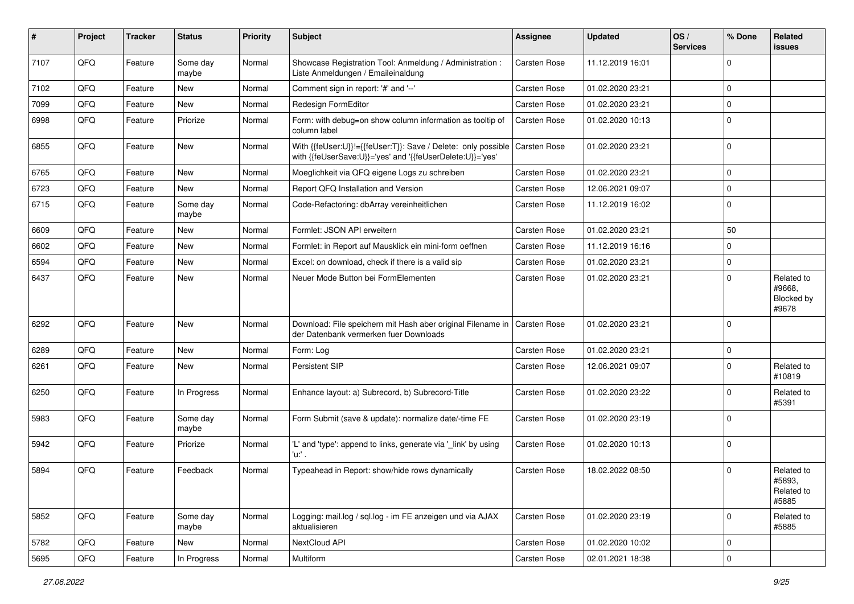| #    | Project | <b>Tracker</b> | <b>Status</b>     | <b>Priority</b> | <b>Subject</b>                                                                                                             | Assignee            | <b>Updated</b>   | OS/<br><b>Services</b> | % Done         | Related<br><b>issues</b>                    |
|------|---------|----------------|-------------------|-----------------|----------------------------------------------------------------------------------------------------------------------------|---------------------|------------------|------------------------|----------------|---------------------------------------------|
| 7107 | QFQ     | Feature        | Some day<br>maybe | Normal          | Showcase Registration Tool: Anmeldung / Administration :<br>Liste Anmeldungen / Emaileinaldung                             | Carsten Rose        | 11.12.2019 16:01 |                        | $\mathbf 0$    |                                             |
| 7102 | QFQ     | Feature        | New               | Normal          | Comment sign in report: '#' and '--'                                                                                       | Carsten Rose        | 01.02.2020 23:21 |                        | $\overline{0}$ |                                             |
| 7099 | QFQ     | Feature        | New               | Normal          | Redesign FormEditor                                                                                                        | <b>Carsten Rose</b> | 01.02.2020 23:21 |                        | $\mathbf 0$    |                                             |
| 6998 | QFQ     | Feature        | Priorize          | Normal          | Form: with debug=on show column information as tooltip of<br>column label                                                  | Carsten Rose        | 01.02.2020 10:13 |                        | $\overline{0}$ |                                             |
| 6855 | QFQ     | Feature        | New               | Normal          | With {{feUser:U}}!={{feUser:T}}: Save / Delete: only possible<br>with {{feUserSave:U}}='yes' and '{{feUserDelete:U}}='yes' | Carsten Rose        | 01.02.2020 23:21 |                        | $\overline{0}$ |                                             |
| 6765 | QFQ     | Feature        | New               | Normal          | Moeglichkeit via QFQ eigene Logs zu schreiben                                                                              | <b>Carsten Rose</b> | 01.02.2020 23:21 |                        | $\overline{0}$ |                                             |
| 6723 | QFQ     | Feature        | New               | Normal          | Report QFQ Installation and Version                                                                                        | Carsten Rose        | 12.06.2021 09:07 |                        | $\overline{0}$ |                                             |
| 6715 | QFQ     | Feature        | Some day<br>maybe | Normal          | Code-Refactoring: dbArray vereinheitlichen                                                                                 | Carsten Rose        | 11.12.2019 16:02 |                        | $\overline{0}$ |                                             |
| 6609 | QFQ     | Feature        | New               | Normal          | Formlet: JSON API erweitern                                                                                                | <b>Carsten Rose</b> | 01.02.2020 23:21 |                        | 50             |                                             |
| 6602 | QFQ     | Feature        | New               | Normal          | Formlet: in Report auf Mausklick ein mini-form oeffnen                                                                     | Carsten Rose        | 11.12.2019 16:16 |                        | $\overline{0}$ |                                             |
| 6594 | QFQ     | Feature        | New               | Normal          | Excel: on download, check if there is a valid sip                                                                          | Carsten Rose        | 01.02.2020 23:21 |                        | $\mathbf 0$    |                                             |
| 6437 | QFQ     | Feature        | New               | Normal          | Neuer Mode Button bei FormElementen                                                                                        | Carsten Rose        | 01.02.2020 23:21 |                        | $\overline{0}$ | Related to<br>#9668,<br>Blocked by<br>#9678 |
| 6292 | QFQ     | Feature        | New               | Normal          | Download: File speichern mit Hash aber original Filename in   Carsten Rose<br>der Datenbank vermerken fuer Downloads       |                     | 01.02.2020 23:21 |                        | $\overline{0}$ |                                             |
| 6289 | QFQ     | Feature        | New               | Normal          | Form: Log                                                                                                                  | Carsten Rose        | 01.02.2020 23:21 |                        | $\mathbf 0$    |                                             |
| 6261 | QFQ     | Feature        | New               | Normal          | Persistent SIP                                                                                                             | <b>Carsten Rose</b> | 12.06.2021 09:07 |                        | $\overline{0}$ | Related to<br>#10819                        |
| 6250 | QFQ     | Feature        | In Progress       | Normal          | Enhance layout: a) Subrecord, b) Subrecord-Title                                                                           | Carsten Rose        | 01.02.2020 23:22 |                        | $\overline{0}$ | Related to<br>#5391                         |
| 5983 | QFQ     | Feature        | Some day<br>maybe | Normal          | Form Submit (save & update): normalize date/-time FE                                                                       | Carsten Rose        | 01.02.2020 23:19 |                        | $\overline{0}$ |                                             |
| 5942 | QFQ     | Feature        | Priorize          | Normal          | 'L' and 'type': append to links, generate via '_link' by using<br>'u:' .                                                   | Carsten Rose        | 01.02.2020 10:13 |                        | $\overline{0}$ |                                             |
| 5894 | QFQ     | Feature        | Feedback          | Normal          | Typeahead in Report: show/hide rows dynamically                                                                            | <b>Carsten Rose</b> | 18.02.2022 08:50 |                        | $\overline{0}$ | Related to<br>#5893.<br>Related to<br>#5885 |
| 5852 | QFQ     | Feature        | Some day<br>maybe | Normal          | Logging: mail.log / sql.log - im FE anzeigen und via AJAX<br>aktualisieren                                                 | Carsten Rose        | 01.02.2020 23:19 |                        | $\overline{0}$ | Related to<br>#5885                         |
| 5782 | QFQ     | Feature        | New               | Normal          | NextCloud API                                                                                                              | Carsten Rose        | 01.02.2020 10:02 |                        | $\mathbf 0$    |                                             |
| 5695 | QFG     | Feature        | In Progress       | Normal          | Multiform                                                                                                                  | Carsten Rose        | 02.01.2021 18:38 |                        | $\overline{0}$ |                                             |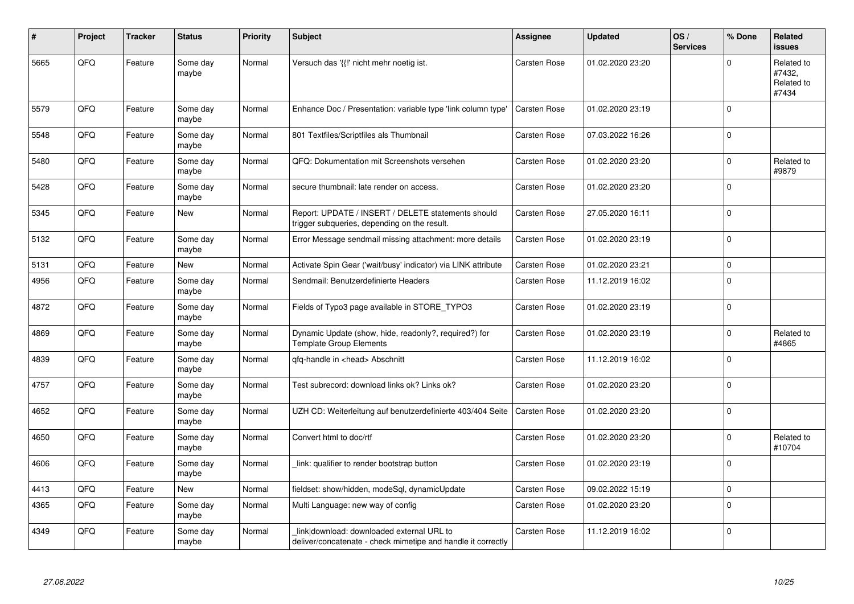| #    | Project | <b>Tracker</b> | <b>Status</b>     | Priority | <b>Subject</b>                                                                                            | <b>Assignee</b>     | <b>Updated</b>   | OS/<br><b>Services</b> | % Done      | Related<br><b>issues</b>                    |
|------|---------|----------------|-------------------|----------|-----------------------------------------------------------------------------------------------------------|---------------------|------------------|------------------------|-------------|---------------------------------------------|
| 5665 | QFQ     | Feature        | Some day<br>maybe | Normal   | Versuch das '{{!' nicht mehr noetig ist.                                                                  | <b>Carsten Rose</b> | 01.02.2020 23:20 |                        | $\Omega$    | Related to<br>#7432,<br>Related to<br>#7434 |
| 5579 | QFQ     | Feature        | Some day<br>maybe | Normal   | Enhance Doc / Presentation: variable type 'link column type'                                              | Carsten Rose        | 01.02.2020 23:19 |                        | $\Omega$    |                                             |
| 5548 | QFQ     | Feature        | Some day<br>maybe | Normal   | 801 Textfiles/Scriptfiles als Thumbnail                                                                   | Carsten Rose        | 07.03.2022 16:26 |                        | $\mathbf 0$ |                                             |
| 5480 | QFQ     | Feature        | Some day<br>maybe | Normal   | QFQ: Dokumentation mit Screenshots versehen                                                               | <b>Carsten Rose</b> | 01.02.2020 23:20 |                        | $\mathbf 0$ | Related to<br>#9879                         |
| 5428 | QFQ     | Feature        | Some day<br>maybe | Normal   | secure thumbnail: late render on access.                                                                  | Carsten Rose        | 01.02.2020 23:20 |                        | $\mathbf 0$ |                                             |
| 5345 | QFQ     | Feature        | New               | Normal   | Report: UPDATE / INSERT / DELETE statements should<br>trigger subqueries, depending on the result.        | <b>Carsten Rose</b> | 27.05.2020 16:11 |                        | $\mathbf 0$ |                                             |
| 5132 | QFQ     | Feature        | Some day<br>maybe | Normal   | Error Message sendmail missing attachment: more details                                                   | <b>Carsten Rose</b> | 01.02.2020 23:19 |                        | $\mathbf 0$ |                                             |
| 5131 | QFQ     | Feature        | New               | Normal   | Activate Spin Gear ('wait/busy' indicator) via LINK attribute                                             | Carsten Rose        | 01.02.2020 23:21 |                        | $\pmb{0}$   |                                             |
| 4956 | QFQ     | Feature        | Some day<br>maybe | Normal   | Sendmail: Benutzerdefinierte Headers                                                                      | <b>Carsten Rose</b> | 11.12.2019 16:02 |                        | $\mathbf 0$ |                                             |
| 4872 | QFQ     | Feature        | Some day<br>maybe | Normal   | Fields of Typo3 page available in STORE_TYPO3                                                             | Carsten Rose        | 01.02.2020 23:19 |                        | $\pmb{0}$   |                                             |
| 4869 | QFQ     | Feature        | Some day<br>maybe | Normal   | Dynamic Update (show, hide, readonly?, required?) for<br><b>Template Group Elements</b>                   | <b>Carsten Rose</b> | 01.02.2020 23:19 |                        | $\mathbf 0$ | Related to<br>#4865                         |
| 4839 | QFQ     | Feature        | Some day<br>maybe | Normal   | gfg-handle in <head> Abschnitt</head>                                                                     | <b>Carsten Rose</b> | 11.12.2019 16:02 |                        | $\mathbf 0$ |                                             |
| 4757 | QFQ     | Feature        | Some day<br>maybe | Normal   | Test subrecord: download links ok? Links ok?                                                              | Carsten Rose        | 01.02.2020 23:20 |                        | $\mathbf 0$ |                                             |
| 4652 | QFQ     | Feature        | Some day<br>maybe | Normal   | UZH CD: Weiterleitung auf benutzerdefinierte 403/404 Seite                                                | <b>Carsten Rose</b> | 01.02.2020 23:20 |                        | $\mathbf 0$ |                                             |
| 4650 | QFQ     | Feature        | Some day<br>maybe | Normal   | Convert html to doc/rtf                                                                                   | <b>Carsten Rose</b> | 01.02.2020 23:20 |                        | $\mathbf 0$ | Related to<br>#10704                        |
| 4606 | QFQ     | Feature        | Some day<br>maybe | Normal   | link: qualifier to render bootstrap button                                                                | Carsten Rose        | 01.02.2020 23:19 |                        | $\mathbf 0$ |                                             |
| 4413 | QFQ     | Feature        | New               | Normal   | fieldset: show/hidden, modeSql, dynamicUpdate                                                             | Carsten Rose        | 09.02.2022 15:19 |                        | $\mathbf 0$ |                                             |
| 4365 | QFQ     | Feature        | Some day<br>maybe | Normal   | Multi Language: new way of config                                                                         | Carsten Rose        | 01.02.2020 23:20 |                        | $\pmb{0}$   |                                             |
| 4349 | QFQ     | Feature        | Some day<br>maybe | Normal   | link download: downloaded external URL to<br>deliver/concatenate - check mimetipe and handle it correctly | <b>Carsten Rose</b> | 11.12.2019 16:02 |                        | $\Omega$    |                                             |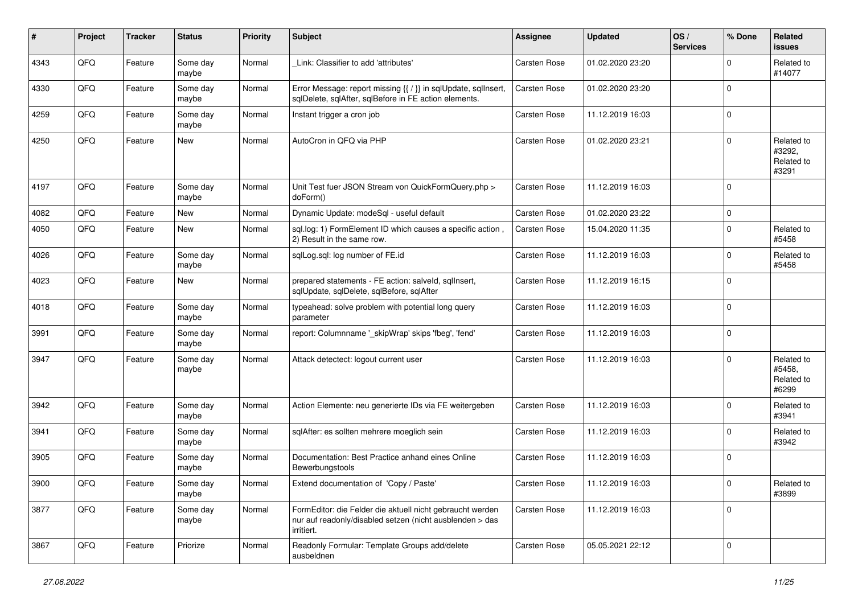| ∦    | Project | <b>Tracker</b> | <b>Status</b>     | <b>Priority</b> | Subject                                                                                                                             | <b>Assignee</b>     | <b>Updated</b>   | OS/<br><b>Services</b> | % Done      | Related<br><b>issues</b>                    |
|------|---------|----------------|-------------------|-----------------|-------------------------------------------------------------------------------------------------------------------------------------|---------------------|------------------|------------------------|-------------|---------------------------------------------|
| 4343 | QFQ     | Feature        | Some day<br>maybe | Normal          | Link: Classifier to add 'attributes'                                                                                                | Carsten Rose        | 01.02.2020 23:20 |                        | $\mathbf 0$ | Related to<br>#14077                        |
| 4330 | QFQ     | Feature        | Some day<br>maybe | Normal          | Error Message: report missing {{ / }} in sqlUpdate, sqlInsert,<br>sqlDelete, sqlAfter, sqlBefore in FE action elements.             | <b>Carsten Rose</b> | 01.02.2020 23:20 |                        | $\mathbf 0$ |                                             |
| 4259 | QFQ     | Feature        | Some day<br>maybe | Normal          | Instant trigger a cron job                                                                                                          | Carsten Rose        | 11.12.2019 16:03 |                        | $\mathbf 0$ |                                             |
| 4250 | QFQ     | Feature        | New               | Normal          | AutoCron in QFQ via PHP                                                                                                             | <b>Carsten Rose</b> | 01.02.2020 23:21 |                        | $\mathbf 0$ | Related to<br>#3292.<br>Related to<br>#3291 |
| 4197 | QFQ     | Feature        | Some day<br>maybe | Normal          | Unit Test fuer JSON Stream von QuickFormQuery.php ><br>doForm()                                                                     | Carsten Rose        | 11.12.2019 16:03 |                        | $\Omega$    |                                             |
| 4082 | QFQ     | Feature        | New               | Normal          | Dynamic Update: modeSql - useful default                                                                                            | <b>Carsten Rose</b> | 01.02.2020 23:22 |                        | $\mathbf 0$ |                                             |
| 4050 | QFQ     | Feature        | New               | Normal          | sql.log: 1) FormElement ID which causes a specific action,<br>2) Result in the same row.                                            | <b>Carsten Rose</b> | 15.04.2020 11:35 |                        | $\mathbf 0$ | Related to<br>#5458                         |
| 4026 | QFQ     | Feature        | Some day<br>maybe | Normal          | sqlLog.sql: log number of FE.id                                                                                                     | Carsten Rose        | 11.12.2019 16:03 |                        | $\mathbf 0$ | Related to<br>#5458                         |
| 4023 | QFQ     | Feature        | <b>New</b>        | Normal          | prepared statements - FE action: salveld, sqllnsert,<br>sqlUpdate, sqlDelete, sqlBefore, sqlAfter                                   | <b>Carsten Rose</b> | 11.12.2019 16:15 |                        | $\Omega$    |                                             |
| 4018 | QFQ     | Feature        | Some day<br>maybe | Normal          | typeahead: solve problem with potential long query<br>parameter                                                                     | Carsten Rose        | 11.12.2019 16:03 |                        | $\Omega$    |                                             |
| 3991 | QFQ     | Feature        | Some day<br>maybe | Normal          | report: Columnname '_skipWrap' skips 'fbeg', 'fend'                                                                                 | Carsten Rose        | 11.12.2019 16:03 |                        | $\mathbf 0$ |                                             |
| 3947 | QFQ     | Feature        | Some day<br>maybe | Normal          | Attack detectect: logout current user                                                                                               | Carsten Rose        | 11.12.2019 16:03 |                        | $\mathbf 0$ | Related to<br>#5458,<br>Related to<br>#6299 |
| 3942 | QFQ     | Feature        | Some day<br>maybe | Normal          | Action Elemente: neu generierte IDs via FE weitergeben                                                                              | <b>Carsten Rose</b> | 11.12.2019 16:03 |                        | $\mathbf 0$ | Related to<br>#3941                         |
| 3941 | QFQ     | Feature        | Some day<br>maybe | Normal          | sqlAfter: es sollten mehrere moeglich sein                                                                                          | Carsten Rose        | 11.12.2019 16:03 |                        | $\mathbf 0$ | Related to<br>#3942                         |
| 3905 | QFQ     | Feature        | Some day<br>maybe | Normal          | Documentation: Best Practice anhand eines Online<br>Bewerbungstools                                                                 | Carsten Rose        | 11.12.2019 16:03 |                        | $\Omega$    |                                             |
| 3900 | QFO     | Feature        | Some day<br>maybe | Normal          | Extend documentation of 'Copy / Paste'                                                                                              | Carsten Rose        | 11.12.2019 16:03 |                        | $\pmb{0}$   | Related to<br>#3899                         |
| 3877 | QFQ     | Feature        | Some day<br>maybe | Normal          | FormEditor: die Felder die aktuell nicht gebraucht werden<br>nur auf readonly/disabled setzen (nicht ausblenden > das<br>irritiert. | Carsten Rose        | 11.12.2019 16:03 |                        | $\pmb{0}$   |                                             |
| 3867 | QFQ     | Feature        | Priorize          | Normal          | Readonly Formular: Template Groups add/delete<br>ausbeldnen                                                                         | Carsten Rose        | 05.05.2021 22:12 |                        | $\mathbf 0$ |                                             |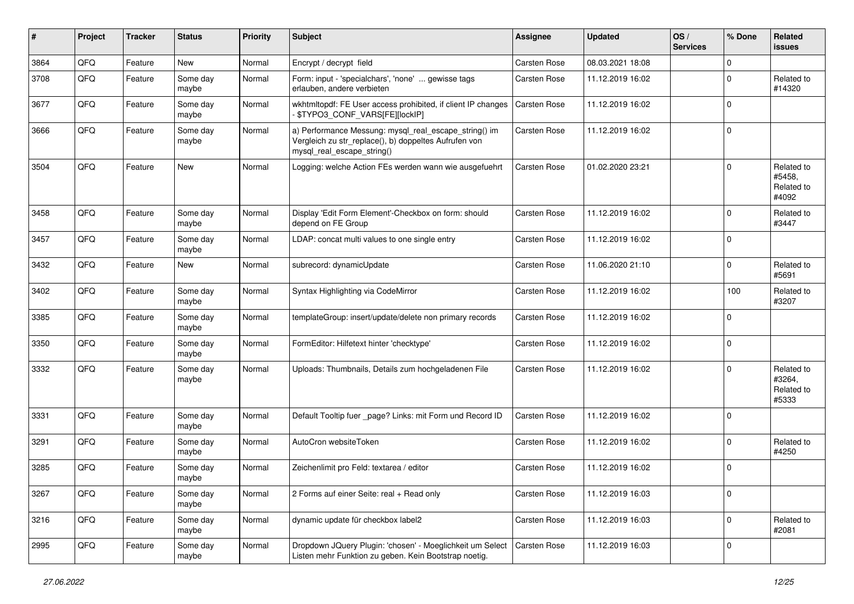| #    | Project | <b>Tracker</b> | <b>Status</b>     | <b>Priority</b> | <b>Subject</b>                                                                                                                               | <b>Assignee</b> | <b>Updated</b>   | OS/<br><b>Services</b> | % Done      | Related<br><b>issues</b>                    |
|------|---------|----------------|-------------------|-----------------|----------------------------------------------------------------------------------------------------------------------------------------------|-----------------|------------------|------------------------|-------------|---------------------------------------------|
| 3864 | QFQ     | Feature        | New               | Normal          | Encrypt / decrypt field                                                                                                                      | Carsten Rose    | 08.03.2021 18:08 |                        | $\Omega$    |                                             |
| 3708 | QFQ     | Feature        | Some day<br>maybe | Normal          | Form: input - 'specialchars', 'none'  gewisse tags<br>erlauben, andere verbieten                                                             | Carsten Rose    | 11.12.2019 16:02 |                        | $\Omega$    | Related to<br>#14320                        |
| 3677 | QFQ     | Feature        | Some day<br>maybe | Normal          | wkhtmltopdf: FE User access prohibited, if client IP changes<br>- \$TYPO3_CONF_VARS[FE][lockIP]                                              | Carsten Rose    | 11.12.2019 16:02 |                        | $\Omega$    |                                             |
| 3666 | QFQ     | Feature        | Some day<br>maybe | Normal          | a) Performance Messung: mysql_real_escape_string() im<br>Vergleich zu str_replace(), b) doppeltes Aufrufen von<br>mysql_real_escape_string() | Carsten Rose    | 11.12.2019 16:02 |                        | $\Omega$    |                                             |
| 3504 | QFQ     | Feature        | New               | Normal          | Logging: welche Action FEs werden wann wie ausgefuehrt                                                                                       | Carsten Rose    | 01.02.2020 23:21 |                        | $\Omega$    | Related to<br>#5458,<br>Related to<br>#4092 |
| 3458 | QFQ     | Feature        | Some day<br>maybe | Normal          | Display 'Edit Form Element'-Checkbox on form: should<br>depend on FE Group                                                                   | Carsten Rose    | 11.12.2019 16:02 |                        | $\Omega$    | Related to<br>#3447                         |
| 3457 | QFQ     | Feature        | Some day<br>maybe | Normal          | LDAP: concat multi values to one single entry                                                                                                | Carsten Rose    | 11.12.2019 16:02 |                        | $\Omega$    |                                             |
| 3432 | QFQ     | Feature        | New               | Normal          | subrecord: dynamicUpdate                                                                                                                     | Carsten Rose    | 11.06.2020 21:10 |                        | $\Omega$    | Related to<br>#5691                         |
| 3402 | QFQ     | Feature        | Some day<br>maybe | Normal          | Syntax Highlighting via CodeMirror                                                                                                           | Carsten Rose    | 11.12.2019 16:02 |                        | 100         | Related to<br>#3207                         |
| 3385 | QFQ     | Feature        | Some day<br>maybe | Normal          | templateGroup: insert/update/delete non primary records                                                                                      | Carsten Rose    | 11.12.2019 16:02 |                        | $\Omega$    |                                             |
| 3350 | QFQ     | Feature        | Some day<br>maybe | Normal          | FormEditor: Hilfetext hinter 'checktype'                                                                                                     | Carsten Rose    | 11.12.2019 16:02 |                        | $\mathbf 0$ |                                             |
| 3332 | QFQ     | Feature        | Some day<br>maybe | Normal          | Uploads: Thumbnails, Details zum hochgeladenen File                                                                                          | Carsten Rose    | 11.12.2019 16:02 |                        | $\Omega$    | Related to<br>#3264,<br>Related to<br>#5333 |
| 3331 | QFQ     | Feature        | Some day<br>maybe | Normal          | Default Tooltip fuer _page? Links: mit Form und Record ID                                                                                    | Carsten Rose    | 11.12.2019 16:02 |                        | $\Omega$    |                                             |
| 3291 | QFQ     | Feature        | Some day<br>maybe | Normal          | AutoCron websiteToken                                                                                                                        | Carsten Rose    | 11.12.2019 16:02 |                        | $\Omega$    | Related to<br>#4250                         |
| 3285 | QFQ     | Feature        | Some day<br>maybe | Normal          | Zeichenlimit pro Feld: textarea / editor                                                                                                     | Carsten Rose    | 11.12.2019 16:02 |                        | $\Omega$    |                                             |
| 3267 | QFQ     | Feature        | Some day<br>maybe | Normal          | 2 Forms auf einer Seite: real + Read only                                                                                                    | Carsten Rose    | 11.12.2019 16:03 |                        | $\mathbf 0$ |                                             |
| 3216 | QFQ     | Feature        | Some day<br>maybe | Normal          | dynamic update für checkbox label2                                                                                                           | Carsten Rose    | 11.12.2019 16:03 |                        | $\mathbf 0$ | Related to<br>#2081                         |
| 2995 | QFQ     | Feature        | Some day<br>maybe | Normal          | Dropdown JQuery Plugin: 'chosen' - Moeglichkeit um Select<br>Listen mehr Funktion zu geben. Kein Bootstrap noetig.                           | Carsten Rose    | 11.12.2019 16:03 |                        | 0           |                                             |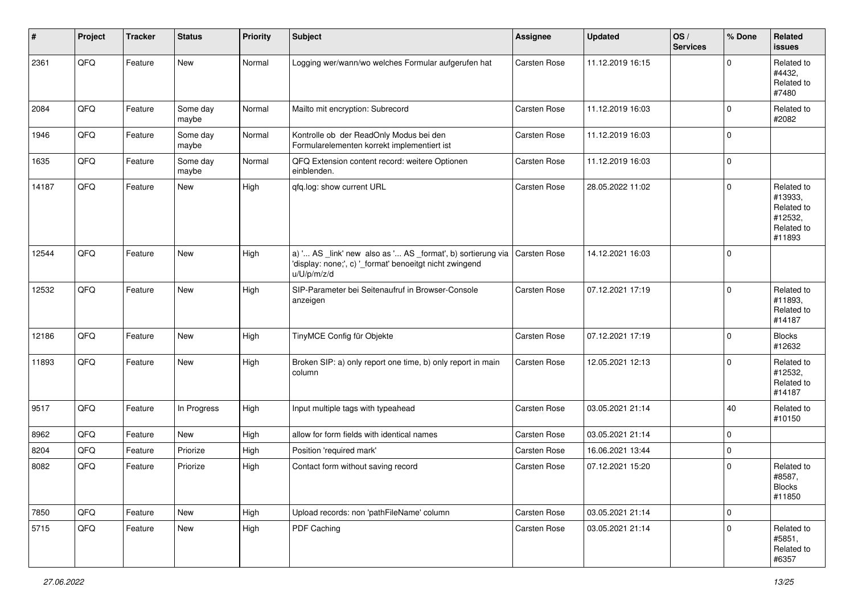| #     | Project | <b>Tracker</b> | <b>Status</b>     | <b>Priority</b> | Subject                                                                                                                                              | <b>Assignee</b>     | <b>Updated</b>   | OS/<br><b>Services</b> | % Done      | Related<br>issues                                                      |
|-------|---------|----------------|-------------------|-----------------|------------------------------------------------------------------------------------------------------------------------------------------------------|---------------------|------------------|------------------------|-------------|------------------------------------------------------------------------|
| 2361  | QFQ     | Feature        | <b>New</b>        | Normal          | Logging wer/wann/wo welches Formular aufgerufen hat                                                                                                  | Carsten Rose        | 11.12.2019 16:15 |                        | $\mathbf 0$ | Related to<br>#4432,<br>Related to<br>#7480                            |
| 2084  | QFQ     | Feature        | Some day<br>maybe | Normal          | Mailto mit encryption: Subrecord                                                                                                                     | Carsten Rose        | 11.12.2019 16:03 |                        | $\mathbf 0$ | Related to<br>#2082                                                    |
| 1946  | QFQ     | Feature        | Some day<br>maybe | Normal          | Kontrolle ob der ReadOnly Modus bei den<br>Formularelementen korrekt implementiert ist                                                               | <b>Carsten Rose</b> | 11.12.2019 16:03 |                        | $\mathbf 0$ |                                                                        |
| 1635  | QFQ     | Feature        | Some day<br>maybe | Normal          | QFQ Extension content record: weitere Optionen<br>einblenden.                                                                                        | <b>Carsten Rose</b> | 11.12.2019 16:03 |                        | $\pmb{0}$   |                                                                        |
| 14187 | QFQ     | Feature        | <b>New</b>        | High            | qfq.log: show current URL                                                                                                                            | Carsten Rose        | 28.05.2022 11:02 |                        | 0           | Related to<br>#13933,<br>Related to<br>#12532,<br>Related to<br>#11893 |
| 12544 | QFQ     | Feature        | <b>New</b>        | High            | a) ' AS _link' new also as ' AS _format', b) sortierung via   Carsten Rose<br>'display: none;', c) '_format' benoeitgt nicht zwingend<br>u/U/p/m/z/d |                     | 14.12.2021 16:03 |                        | $\mathbf 0$ |                                                                        |
| 12532 | QFQ     | Feature        | <b>New</b>        | High            | SIP-Parameter bei Seitenaufruf in Browser-Console<br>anzeigen                                                                                        | Carsten Rose        | 07.12.2021 17:19 |                        | $\pmb{0}$   | Related to<br>#11893,<br>Related to<br>#14187                          |
| 12186 | QFQ     | Feature        | <b>New</b>        | High            | TinyMCE Config für Objekte                                                                                                                           | Carsten Rose        | 07.12.2021 17:19 |                        | 0           | <b>Blocks</b><br>#12632                                                |
| 11893 | QFQ     | Feature        | <b>New</b>        | High            | Broken SIP: a) only report one time, b) only report in main<br>column                                                                                | Carsten Rose        | 12.05.2021 12:13 |                        | $\mathbf 0$ | Related to<br>#12532,<br>Related to<br>#14187                          |
| 9517  | QFQ     | Feature        | In Progress       | High            | Input multiple tags with typeahead                                                                                                                   | Carsten Rose        | 03.05.2021 21:14 |                        | 40          | Related to<br>#10150                                                   |
| 8962  | QFQ     | Feature        | <b>New</b>        | High            | allow for form fields with identical names                                                                                                           | Carsten Rose        | 03.05.2021 21:14 |                        | $\pmb{0}$   |                                                                        |
| 8204  | QFQ     | Feature        | Priorize          | High            | Position 'required mark'                                                                                                                             | Carsten Rose        | 16.06.2021 13:44 |                        | 0           |                                                                        |
| 8082  | QFQ     | Feature        | Priorize          | High            | Contact form without saving record                                                                                                                   | Carsten Rose        | 07.12.2021 15:20 |                        | $\mathbf 0$ | Related to<br>#8587,<br><b>Blocks</b><br>#11850                        |
| 7850  | QFQ     | Feature        | New               | High            | Upload records: non 'pathFileName' column                                                                                                            | Carsten Rose        | 03.05.2021 21:14 |                        | $\pmb{0}$   |                                                                        |
| 5715  | QFQ     | Feature        | New               | High            | PDF Caching                                                                                                                                          | Carsten Rose        | 03.05.2021 21:14 |                        | 0           | Related to<br>#5851,<br>Related to<br>#6357                            |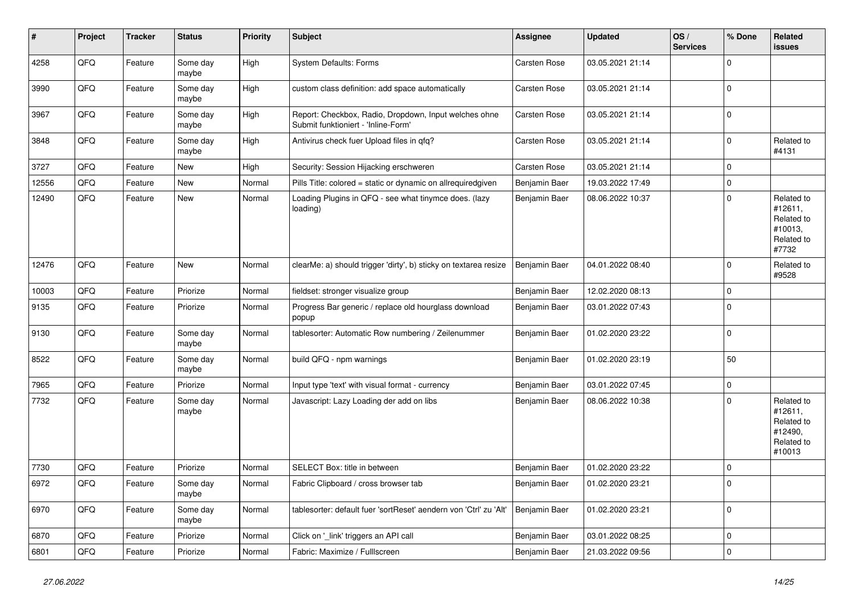| #     | <b>Project</b> | <b>Tracker</b> | <b>Status</b>     | <b>Priority</b> | <b>Subject</b>                                                                               | Assignee            | <b>Updated</b>   | OS/<br><b>Services</b> | % Done      | Related<br><b>issues</b>                                               |
|-------|----------------|----------------|-------------------|-----------------|----------------------------------------------------------------------------------------------|---------------------|------------------|------------------------|-------------|------------------------------------------------------------------------|
| 4258  | QFQ            | Feature        | Some day<br>maybe | High            | System Defaults: Forms                                                                       | Carsten Rose        | 03.05.2021 21:14 |                        | $\mathbf 0$ |                                                                        |
| 3990  | QFQ            | Feature        | Some day<br>maybe | High            | custom class definition: add space automatically                                             | Carsten Rose        | 03.05.2021 21:14 |                        | $\pmb{0}$   |                                                                        |
| 3967  | QFQ            | Feature        | Some day<br>maybe | High            | Report: Checkbox, Radio, Dropdown, Input welches ohne<br>Submit funktioniert - 'Inline-Form' | <b>Carsten Rose</b> | 03.05.2021 21:14 |                        | $\mathbf 0$ |                                                                        |
| 3848  | QFQ            | Feature        | Some day<br>maybe | High            | Antivirus check fuer Upload files in qfq?                                                    | Carsten Rose        | 03.05.2021 21:14 |                        | $\mathbf 0$ | Related to<br>#4131                                                    |
| 3727  | QFQ            | Feature        | New               | High            | Security: Session Hijacking erschweren                                                       | Carsten Rose        | 03.05.2021 21:14 |                        | $\pmb{0}$   |                                                                        |
| 12556 | QFQ            | Feature        | New               | Normal          | Pills Title: colored = static or dynamic on allrequiredgiven                                 | Benjamin Baer       | 19.03.2022 17:49 |                        | $\pmb{0}$   |                                                                        |
| 12490 | QFQ            | Feature        | New               | Normal          | Loading Plugins in QFQ - see what tinymce does. (lazy<br>loading)                            | Benjamin Baer       | 08.06.2022 10:37 |                        | $\pmb{0}$   | Related to<br>#12611,<br>Related to<br>#10013,<br>Related to<br>#7732  |
| 12476 | QFQ            | Feature        | New               | Normal          | clearMe: a) should trigger 'dirty', b) sticky on textarea resize                             | Benjamin Baer       | 04.01.2022 08:40 |                        | $\mathbf 0$ | Related to<br>#9528                                                    |
| 10003 | QFQ            | Feature        | Priorize          | Normal          | fieldset: stronger visualize group                                                           | Benjamin Baer       | 12.02.2020 08:13 |                        | $\pmb{0}$   |                                                                        |
| 9135  | QFQ            | Feature        | Priorize          | Normal          | Progress Bar generic / replace old hourglass download<br>popup                               | Benjamin Baer       | 03.01.2022 07:43 |                        | $\mathbf 0$ |                                                                        |
| 9130  | QFQ            | Feature        | Some day<br>maybe | Normal          | tablesorter: Automatic Row numbering / Zeilenummer                                           | Benjamin Baer       | 01.02.2020 23:22 |                        | $\pmb{0}$   |                                                                        |
| 8522  | QFQ            | Feature        | Some day<br>maybe | Normal          | build QFQ - npm warnings                                                                     | Benjamin Baer       | 01.02.2020 23:19 |                        | 50          |                                                                        |
| 7965  | QFQ            | Feature        | Priorize          | Normal          | Input type 'text' with visual format - currency                                              | Benjamin Baer       | 03.01.2022 07:45 |                        | $\pmb{0}$   |                                                                        |
| 7732  | QFQ            | Feature        | Some day<br>maybe | Normal          | Javascript: Lazy Loading der add on libs                                                     | Benjamin Baer       | 08.06.2022 10:38 |                        | $\mathbf 0$ | Related to<br>#12611,<br>Related to<br>#12490,<br>Related to<br>#10013 |
| 7730  | QFQ            | Feature        | Priorize          | Normal          | SELECT Box: title in between                                                                 | Benjamin Baer       | 01.02.2020 23:22 |                        | $\pmb{0}$   |                                                                        |
| 6972  | QFQ            | Feature        | Some day<br>maybe | Normal          | Fabric Clipboard / cross browser tab                                                         | Benjamin Baer       | 01.02.2020 23:21 |                        | $\mathbf 0$ |                                                                        |
| 6970  | QFQ            | Feature        | Some day<br>maybe | Normal          | tablesorter: default fuer 'sortReset' aendern von 'Ctrl' zu 'Alt'                            | Benjamin Baer       | 01.02.2020 23:21 |                        | $\mathbf 0$ |                                                                        |
| 6870  | QFQ            | Feature        | Priorize          | Normal          | Click on '_link' triggers an API call                                                        | Benjamin Baer       | 03.01.2022 08:25 |                        | $\pmb{0}$   |                                                                        |
| 6801  | QFQ            | Feature        | Priorize          | Normal          | Fabric: Maximize / FullIscreen                                                               | Benjamin Baer       | 21.03.2022 09:56 |                        | $\mathbf 0$ |                                                                        |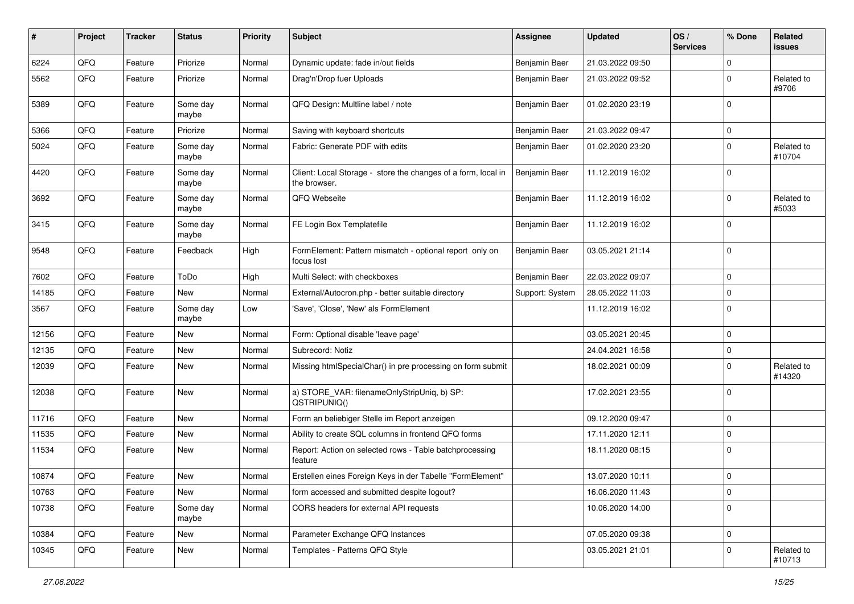| $\pmb{\#}$ | Project | <b>Tracker</b> | <b>Status</b>     | <b>Priority</b> | Subject                                                                       | Assignee        | <b>Updated</b>   | OS/<br><b>Services</b> | % Done         | Related<br><b>issues</b> |
|------------|---------|----------------|-------------------|-----------------|-------------------------------------------------------------------------------|-----------------|------------------|------------------------|----------------|--------------------------|
| 6224       | QFQ     | Feature        | Priorize          | Normal          | Dynamic update: fade in/out fields                                            | Benjamin Baer   | 21.03.2022 09:50 |                        | $\mathbf 0$    |                          |
| 5562       | QFQ     | Feature        | Priorize          | Normal          | Drag'n'Drop fuer Uploads                                                      | Benjamin Baer   | 21.03.2022 09:52 |                        | $\mathbf 0$    | Related to<br>#9706      |
| 5389       | QFQ     | Feature        | Some day<br>maybe | Normal          | QFQ Design: Multline label / note                                             | Benjamin Baer   | 01.02.2020 23:19 |                        | $\mathbf 0$    |                          |
| 5366       | QFQ     | Feature        | Priorize          | Normal          | Saving with keyboard shortcuts                                                | Benjamin Baer   | 21.03.2022 09:47 |                        | $\mathbf 0$    |                          |
| 5024       | QFQ     | Feature        | Some day<br>maybe | Normal          | Fabric: Generate PDF with edits                                               | Benjamin Baer   | 01.02.2020 23:20 |                        | $\mathbf 0$    | Related to<br>#10704     |
| 4420       | QFQ     | Feature        | Some day<br>maybe | Normal          | Client: Local Storage - store the changes of a form, local in<br>the browser. | Benjamin Baer   | 11.12.2019 16:02 |                        | $\mathbf 0$    |                          |
| 3692       | QFQ     | Feature        | Some day<br>maybe | Normal          | QFQ Webseite                                                                  | Benjamin Baer   | 11.12.2019 16:02 |                        | $\mathbf 0$    | Related to<br>#5033      |
| 3415       | QFQ     | Feature        | Some day<br>maybe | Normal          | FE Login Box Templatefile                                                     | Benjamin Baer   | 11.12.2019 16:02 |                        | $\mathbf 0$    |                          |
| 9548       | QFQ     | Feature        | Feedback          | High            | FormElement: Pattern mismatch - optional report only on<br>focus lost         | Benjamin Baer   | 03.05.2021 21:14 |                        | $\mathbf 0$    |                          |
| 7602       | QFQ     | Feature        | ToDo              | High            | Multi Select: with checkboxes                                                 | Benjamin Baer   | 22.03.2022 09:07 |                        | $\mathbf 0$    |                          |
| 14185      | QFQ     | Feature        | New               | Normal          | External/Autocron.php - better suitable directory                             | Support: System | 28.05.2022 11:03 |                        | $\mathbf 0$    |                          |
| 3567       | QFQ     | Feature        | Some day<br>maybe | Low             | 'Save', 'Close', 'New' als FormElement                                        |                 | 11.12.2019 16:02 |                        | $\mathbf 0$    |                          |
| 12156      | QFQ     | Feature        | New               | Normal          | Form: Optional disable 'leave page'                                           |                 | 03.05.2021 20:45 |                        | $\mathbf 0$    |                          |
| 12135      | QFQ     | Feature        | New               | Normal          | Subrecord: Notiz                                                              |                 | 24.04.2021 16:58 |                        | $\mathbf 0$    |                          |
| 12039      | QFQ     | Feature        | New               | Normal          | Missing htmlSpecialChar() in pre processing on form submit                    |                 | 18.02.2021 00:09 |                        | $\mathbf 0$    | Related to<br>#14320     |
| 12038      | QFQ     | Feature        | New               | Normal          | a) STORE_VAR: filenameOnlyStripUniq, b) SP:<br>QSTRIPUNIQ()                   |                 | 17.02.2021 23:55 |                        | $\mathbf 0$    |                          |
| 11716      | QFQ     | Feature        | New               | Normal          | Form an beliebiger Stelle im Report anzeigen                                  |                 | 09.12.2020 09:47 |                        | $\mathbf 0$    |                          |
| 11535      | QFQ     | Feature        | New               | Normal          | Ability to create SQL columns in frontend QFQ forms                           |                 | 17.11.2020 12:11 |                        | $\mathbf 0$    |                          |
| 11534      | QFQ     | Feature        | New               | Normal          | Report: Action on selected rows - Table batchprocessing<br>feature            |                 | 18.11.2020 08:15 |                        | $\mathbf 0$    |                          |
| 10874      | QFQ     | Feature        | New               | Normal          | Erstellen eines Foreign Keys in der Tabelle "FormElement"                     |                 | 13.07.2020 10:11 |                        | $\mathbf 0$    |                          |
| 10763      | QFQ     | Feature        | New               | Normal          | form accessed and submitted despite logout?                                   |                 | 16.06.2020 11:43 |                        | $\overline{0}$ |                          |
| 10738      | QFQ     | Feature        | Some day<br>maybe | Normal          | CORS headers for external API requests                                        |                 | 10.06.2020 14:00 |                        | $\pmb{0}$      |                          |
| 10384      | QFQ     | Feature        | New               | Normal          | Parameter Exchange QFQ Instances                                              |                 | 07.05.2020 09:38 |                        | $\mathbf 0$    |                          |
| 10345      | QFQ     | Feature        | New               | Normal          | Templates - Patterns QFQ Style                                                |                 | 03.05.2021 21:01 |                        | $\mathbf 0$    | Related to<br>#10713     |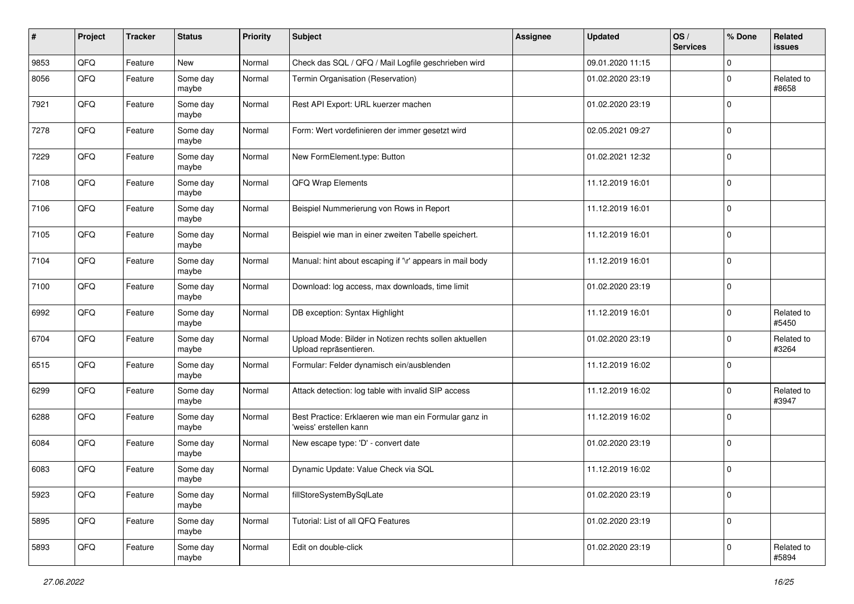| #    | Project | <b>Tracker</b> | <b>Status</b>     | <b>Priority</b> | <b>Subject</b>                                                                   | Assignee | <b>Updated</b>   | OS/<br><b>Services</b> | % Done      | <b>Related</b><br><b>issues</b> |
|------|---------|----------------|-------------------|-----------------|----------------------------------------------------------------------------------|----------|------------------|------------------------|-------------|---------------------------------|
| 9853 | QFQ     | Feature        | New               | Normal          | Check das SQL / QFQ / Mail Logfile geschrieben wird                              |          | 09.01.2020 11:15 |                        | $\mathbf 0$ |                                 |
| 8056 | QFQ     | Feature        | Some day<br>maybe | Normal          | Termin Organisation (Reservation)                                                |          | 01.02.2020 23:19 |                        | $\mathbf 0$ | Related to<br>#8658             |
| 7921 | QFQ     | Feature        | Some day<br>maybe | Normal          | Rest API Export: URL kuerzer machen                                              |          | 01.02.2020 23:19 |                        | $\mathbf 0$ |                                 |
| 7278 | QFQ     | Feature        | Some day<br>maybe | Normal          | Form: Wert vordefinieren der immer gesetzt wird                                  |          | 02.05.2021 09:27 |                        | $\mathbf 0$ |                                 |
| 7229 | QFQ     | Feature        | Some day<br>maybe | Normal          | New FormElement.type: Button                                                     |          | 01.02.2021 12:32 |                        | $\mathbf 0$ |                                 |
| 7108 | QFQ     | Feature        | Some day<br>maybe | Normal          | QFQ Wrap Elements                                                                |          | 11.12.2019 16:01 |                        | $\mathbf 0$ |                                 |
| 7106 | QFQ     | Feature        | Some day<br>maybe | Normal          | Beispiel Nummerierung von Rows in Report                                         |          | 11.12.2019 16:01 |                        | $\mathbf 0$ |                                 |
| 7105 | QFQ     | Feature        | Some day<br>maybe | Normal          | Beispiel wie man in einer zweiten Tabelle speichert.                             |          | 11.12.2019 16:01 |                        | $\mathbf 0$ |                                 |
| 7104 | QFQ     | Feature        | Some day<br>maybe | Normal          | Manual: hint about escaping if '\r' appears in mail body                         |          | 11.12.2019 16:01 |                        | $\mathbf 0$ |                                 |
| 7100 | QFQ     | Feature        | Some day<br>maybe | Normal          | Download: log access, max downloads, time limit                                  |          | 01.02.2020 23:19 |                        | $\mathbf 0$ |                                 |
| 6992 | QFQ     | Feature        | Some day<br>maybe | Normal          | DB exception: Syntax Highlight                                                   |          | 11.12.2019 16:01 |                        | $\mathbf 0$ | Related to<br>#5450             |
| 6704 | QFQ     | Feature        | Some day<br>maybe | Normal          | Upload Mode: Bilder in Notizen rechts sollen aktuellen<br>Upload repräsentieren. |          | 01.02.2020 23:19 |                        | $\mathbf 0$ | Related to<br>#3264             |
| 6515 | QFQ     | Feature        | Some day<br>maybe | Normal          | Formular: Felder dynamisch ein/ausblenden                                        |          | 11.12.2019 16:02 |                        | $\mathbf 0$ |                                 |
| 6299 | QFQ     | Feature        | Some day<br>maybe | Normal          | Attack detection: log table with invalid SIP access                              |          | 11.12.2019 16:02 |                        | $\mathbf 0$ | Related to<br>#3947             |
| 6288 | QFQ     | Feature        | Some day<br>maybe | Normal          | Best Practice: Erklaeren wie man ein Formular ganz in<br>'weiss' erstellen kann  |          | 11.12.2019 16:02 |                        | $\mathbf 0$ |                                 |
| 6084 | QFQ     | Feature        | Some day<br>maybe | Normal          | New escape type: 'D' - convert date                                              |          | 01.02.2020 23:19 |                        | $\mathbf 0$ |                                 |
| 6083 | QFQ     | Feature        | Some day<br>maybe | Normal          | Dynamic Update: Value Check via SQL                                              |          | 11.12.2019 16:02 |                        | $\mathbf 0$ |                                 |
| 5923 | QFQ     | Feature        | Some day<br>maybe | Normal          | fillStoreSystemBySqlLate                                                         |          | 01.02.2020 23:19 |                        | $\mathbf 0$ |                                 |
| 5895 | QFQ     | Feature        | Some day<br>maybe | Normal          | Tutorial: List of all QFQ Features                                               |          | 01.02.2020 23:19 |                        | $\mathbf 0$ |                                 |
| 5893 | QFQ     | Feature        | Some day<br>maybe | Normal          | Edit on double-click                                                             |          | 01.02.2020 23:19 |                        | $\mathbf 0$ | Related to<br>#5894             |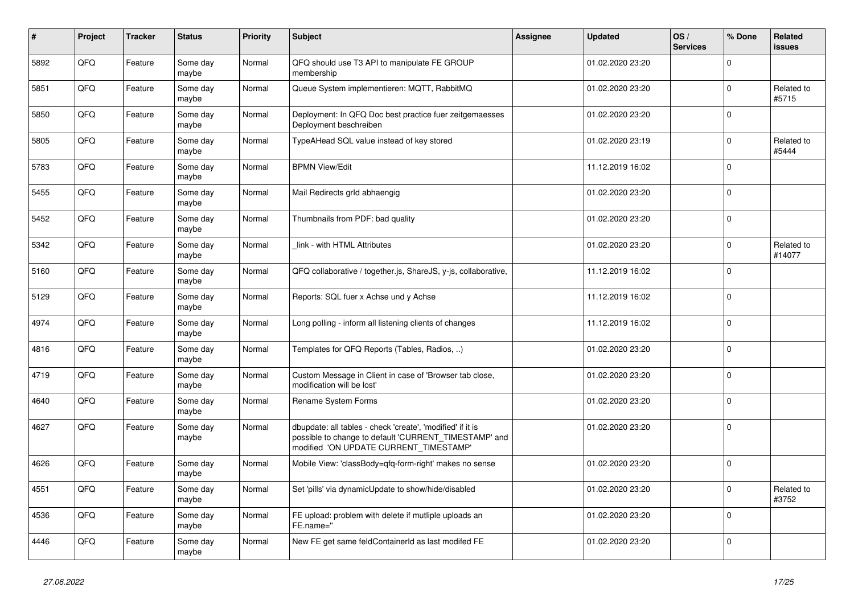| #    | Project | <b>Tracker</b> | <b>Status</b>     | <b>Priority</b> | <b>Subject</b>                                                                                                                                                | <b>Assignee</b> | <b>Updated</b>   | OS/<br><b>Services</b> | % Done         | <b>Related</b><br><b>issues</b> |
|------|---------|----------------|-------------------|-----------------|---------------------------------------------------------------------------------------------------------------------------------------------------------------|-----------------|------------------|------------------------|----------------|---------------------------------|
| 5892 | QFQ     | Feature        | Some day<br>maybe | Normal          | QFQ should use T3 API to manipulate FE GROUP<br>membership                                                                                                    |                 | 01.02.2020 23:20 |                        | $\overline{0}$ |                                 |
| 5851 | QFQ     | Feature        | Some day<br>maybe | Normal          | Queue System implementieren: MQTT, RabbitMQ                                                                                                                   |                 | 01.02.2020 23:20 |                        | $\overline{0}$ | Related to<br>#5715             |
| 5850 | QFQ     | Feature        | Some day<br>maybe | Normal          | Deployment: In QFQ Doc best practice fuer zeitgemaesses<br>Deployment beschreiben                                                                             |                 | 01.02.2020 23:20 |                        | $\overline{0}$ |                                 |
| 5805 | QFQ     | Feature        | Some day<br>maybe | Normal          | TypeAHead SQL value instead of key stored                                                                                                                     |                 | 01.02.2020 23:19 |                        | $\overline{0}$ | Related to<br>#5444             |
| 5783 | QFQ     | Feature        | Some day<br>maybe | Normal          | <b>BPMN View/Edit</b>                                                                                                                                         |                 | 11.12.2019 16:02 |                        | $\overline{0}$ |                                 |
| 5455 | QFQ     | Feature        | Some day<br>maybe | Normal          | Mail Redirects grld abhaengig                                                                                                                                 |                 | 01.02.2020 23:20 |                        | $\overline{0}$ |                                 |
| 5452 | QFQ     | Feature        | Some day<br>maybe | Normal          | Thumbnails from PDF: bad quality                                                                                                                              |                 | 01.02.2020 23:20 |                        | $\overline{0}$ |                                 |
| 5342 | QFQ     | Feature        | Some day<br>maybe | Normal          | link - with HTML Attributes                                                                                                                                   |                 | 01.02.2020 23:20 |                        | $\overline{0}$ | Related to<br>#14077            |
| 5160 | QFQ     | Feature        | Some day<br>maybe | Normal          | QFQ collaborative / together.js, ShareJS, y-js, collaborative,                                                                                                |                 | 11.12.2019 16:02 |                        | $\overline{0}$ |                                 |
| 5129 | QFQ     | Feature        | Some day<br>maybe | Normal          | Reports: SQL fuer x Achse und y Achse                                                                                                                         |                 | 11.12.2019 16:02 |                        | $\overline{0}$ |                                 |
| 4974 | QFQ     | Feature        | Some day<br>maybe | Normal          | Long polling - inform all listening clients of changes                                                                                                        |                 | 11.12.2019 16:02 |                        | $\overline{0}$ |                                 |
| 4816 | QFQ     | Feature        | Some day<br>maybe | Normal          | Templates for QFQ Reports (Tables, Radios, )                                                                                                                  |                 | 01.02.2020 23:20 |                        | $\overline{0}$ |                                 |
| 4719 | QFQ     | Feature        | Some day<br>maybe | Normal          | Custom Message in Client in case of 'Browser tab close,<br>modification will be lost'                                                                         |                 | 01.02.2020 23:20 |                        | $\overline{0}$ |                                 |
| 4640 | QFQ     | Feature        | Some day<br>maybe | Normal          | Rename System Forms                                                                                                                                           |                 | 01.02.2020 23:20 |                        | $\overline{0}$ |                                 |
| 4627 | QFQ     | Feature        | Some day<br>maybe | Normal          | dbupdate: all tables - check 'create', 'modified' if it is<br>possible to change to default 'CURRENT_TIMESTAMP' and<br>modified 'ON UPDATE CURRENT_TIMESTAMP' |                 | 01.02.2020 23:20 |                        | $\overline{0}$ |                                 |
| 4626 | QFQ     | Feature        | Some day<br>maybe | Normal          | Mobile View: 'classBody=qfq-form-right' makes no sense                                                                                                        |                 | 01.02.2020 23:20 |                        | $\overline{0}$ |                                 |
| 4551 | QFQ     | Feature        | Some day<br>maybe | Normal          | Set 'pills' via dynamicUpdate to show/hide/disabled                                                                                                           |                 | 01.02.2020 23:20 |                        | $\overline{0}$ | Related to<br>#3752             |
| 4536 | QFQ     | Feature        | Some day<br>maybe | Normal          | FE upload: problem with delete if mutliple uploads an<br>FE.name="                                                                                            |                 | 01.02.2020 23:20 |                        | $\overline{0}$ |                                 |
| 4446 | QFQ     | Feature        | Some day<br>maybe | Normal          | New FE get same feldContainerId as last modifed FE                                                                                                            |                 | 01.02.2020 23:20 |                        | $\overline{0}$ |                                 |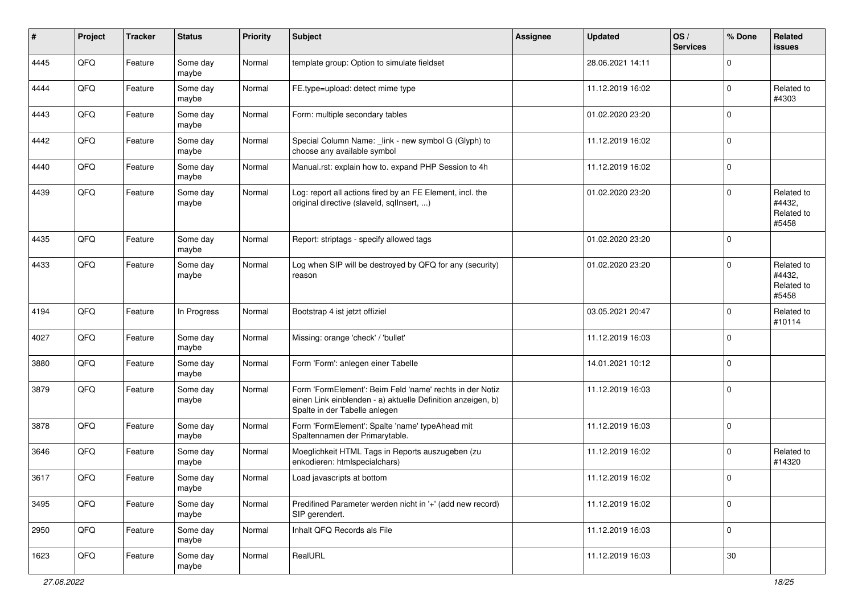| #    | Project | <b>Tracker</b> | <b>Status</b>     | <b>Priority</b> | Subject                                                                                                                                                  | <b>Assignee</b> | <b>Updated</b>   | OS/<br><b>Services</b> | % Done         | Related<br><b>issues</b>                    |
|------|---------|----------------|-------------------|-----------------|----------------------------------------------------------------------------------------------------------------------------------------------------------|-----------------|------------------|------------------------|----------------|---------------------------------------------|
| 4445 | QFQ     | Feature        | Some day<br>maybe | Normal          | template group: Option to simulate fieldset                                                                                                              |                 | 28.06.2021 14:11 |                        | $\mathbf 0$    |                                             |
| 4444 | QFQ     | Feature        | Some day<br>maybe | Normal          | FE.type=upload: detect mime type                                                                                                                         |                 | 11.12.2019 16:02 |                        | $\overline{0}$ | Related to<br>#4303                         |
| 4443 | QFQ     | Feature        | Some day<br>maybe | Normal          | Form: multiple secondary tables                                                                                                                          |                 | 01.02.2020 23:20 |                        | $\overline{0}$ |                                             |
| 4442 | QFQ     | Feature        | Some day<br>maybe | Normal          | Special Column Name: _link - new symbol G (Glyph) to<br>choose any available symbol                                                                      |                 | 11.12.2019 16:02 |                        | $\mathbf 0$    |                                             |
| 4440 | QFQ     | Feature        | Some day<br>maybe | Normal          | Manual.rst: explain how to. expand PHP Session to 4h                                                                                                     |                 | 11.12.2019 16:02 |                        | $\mathbf 0$    |                                             |
| 4439 | QFQ     | Feature        | Some day<br>maybe | Normal          | Log: report all actions fired by an FE Element, incl. the<br>original directive (slaveld, sqlInsert, )                                                   |                 | 01.02.2020 23:20 |                        | $\overline{0}$ | Related to<br>#4432,<br>Related to<br>#5458 |
| 4435 | QFQ     | Feature        | Some day<br>maybe | Normal          | Report: striptags - specify allowed tags                                                                                                                 |                 | 01.02.2020 23:20 |                        | $\mathbf 0$    |                                             |
| 4433 | QFQ     | Feature        | Some day<br>maybe | Normal          | Log when SIP will be destroyed by QFQ for any (security)<br>reason                                                                                       |                 | 01.02.2020 23:20 |                        | $\overline{0}$ | Related to<br>#4432,<br>Related to<br>#5458 |
| 4194 | QFQ     | Feature        | In Progress       | Normal          | Bootstrap 4 ist jetzt offiziel                                                                                                                           |                 | 03.05.2021 20:47 |                        | $\overline{0}$ | Related to<br>#10114                        |
| 4027 | QFQ     | Feature        | Some day<br>maybe | Normal          | Missing: orange 'check' / 'bullet'                                                                                                                       |                 | 11.12.2019 16:03 |                        | $\overline{0}$ |                                             |
| 3880 | QFQ     | Feature        | Some day<br>maybe | Normal          | Form 'Form': anlegen einer Tabelle                                                                                                                       |                 | 14.01.2021 10:12 |                        | $\overline{0}$ |                                             |
| 3879 | QFQ     | Feature        | Some day<br>maybe | Normal          | Form 'FormElement': Beim Feld 'name' rechts in der Notiz<br>einen Link einblenden - a) aktuelle Definition anzeigen, b)<br>Spalte in der Tabelle anlegen |                 | 11.12.2019 16:03 |                        | $\mathbf 0$    |                                             |
| 3878 | QFQ     | Feature        | Some day<br>maybe | Normal          | Form 'FormElement': Spalte 'name' typeAhead mit<br>Spaltennamen der Primarytable.                                                                        |                 | 11.12.2019 16:03 |                        | $\overline{0}$ |                                             |
| 3646 | QFQ     | Feature        | Some day<br>maybe | Normal          | Moeglichkeit HTML Tags in Reports auszugeben (zu<br>enkodieren: htmlspecialchars)                                                                        |                 | 11.12.2019 16:02 |                        | $\mathbf 0$    | Related to<br>#14320                        |
| 3617 | QFQ     | Feature        | Some day<br>maybe | Normal          | Load javascripts at bottom                                                                                                                               |                 | 11.12.2019 16:02 |                        | $\overline{0}$ |                                             |
| 3495 | QFQ     | Feature        | Some day<br>maybe | Normal          | Predifined Parameter werden nicht in '+' (add new record)<br>SIP gerendert.                                                                              |                 | 11.12.2019 16:02 |                        | $\overline{0}$ |                                             |
| 2950 | QFQ     | Feature        | Some day<br>maybe | Normal          | Inhalt QFQ Records als File                                                                                                                              |                 | 11.12.2019 16:03 |                        | $\overline{0}$ |                                             |
| 1623 | QFQ     | Feature        | Some day<br>maybe | Normal          | RealURL                                                                                                                                                  |                 | 11.12.2019 16:03 |                        | $30\,$         |                                             |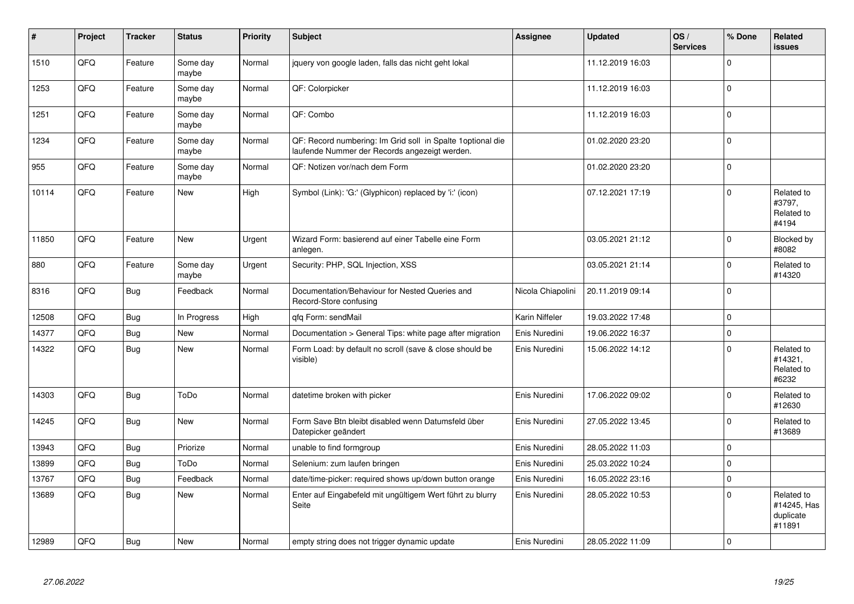| $\sharp$ | Project | <b>Tracker</b> | <b>Status</b>     | <b>Priority</b> | <b>Subject</b>                                                                                               | <b>Assignee</b>   | <b>Updated</b>   | OS/<br><b>Services</b> | % Done      | <b>Related</b><br><b>issues</b>                  |
|----------|---------|----------------|-------------------|-----------------|--------------------------------------------------------------------------------------------------------------|-------------------|------------------|------------------------|-------------|--------------------------------------------------|
| 1510     | QFQ     | Feature        | Some day<br>maybe | Normal          | jquery von google laden, falls das nicht geht lokal                                                          |                   | 11.12.2019 16:03 |                        | $\mathbf 0$ |                                                  |
| 1253     | QFQ     | Feature        | Some day<br>maybe | Normal          | QF: Colorpicker                                                                                              |                   | 11.12.2019 16:03 |                        | $\mathbf 0$ |                                                  |
| 1251     | QFQ     | Feature        | Some day<br>maybe | Normal          | QF: Combo                                                                                                    |                   | 11.12.2019 16:03 |                        | $\mathbf 0$ |                                                  |
| 1234     | QFQ     | Feature        | Some day<br>maybe | Normal          | QF: Record numbering: Im Grid soll in Spalte 1 optional die<br>laufende Nummer der Records angezeigt werden. |                   | 01.02.2020 23:20 |                        | $\mathbf 0$ |                                                  |
| 955      | QFQ     | Feature        | Some day<br>maybe | Normal          | QF: Notizen vor/nach dem Form                                                                                |                   | 01.02.2020 23:20 |                        | $\mathbf 0$ |                                                  |
| 10114    | QFQ     | Feature        | <b>New</b>        | High            | Symbol (Link): 'G:' (Glyphicon) replaced by 'i:' (icon)                                                      |                   | 07.12.2021 17:19 |                        | $\mathbf 0$ | Related to<br>#3797,<br>Related to<br>#4194      |
| 11850    | QFQ     | Feature        | New               | Urgent          | Wizard Form: basierend auf einer Tabelle eine Form<br>anlegen.                                               |                   | 03.05.2021 21:12 |                        | $\Omega$    | Blocked by<br>#8082                              |
| 880      | QFQ     | Feature        | Some day<br>maybe | Urgent          | Security: PHP, SQL Injection, XSS                                                                            |                   | 03.05.2021 21:14 |                        | $\mathbf 0$ | Related to<br>#14320                             |
| 8316     | QFQ     | Bug            | Feedback          | Normal          | Documentation/Behaviour for Nested Queries and<br>Record-Store confusing                                     | Nicola Chiapolini | 20.11.2019 09:14 |                        | $\mathbf 0$ |                                                  |
| 12508    | QFQ     | <b>Bug</b>     | In Progress       | High            | qfq Form: sendMail                                                                                           | Karin Niffeler    | 19.03.2022 17:48 |                        | $\mathbf 0$ |                                                  |
| 14377    | QFQ     | Bug            | New               | Normal          | Documentation > General Tips: white page after migration                                                     | Enis Nuredini     | 19.06.2022 16:37 |                        | $\pmb{0}$   |                                                  |
| 14322    | QFQ     | Bug            | New               | Normal          | Form Load: by default no scroll (save & close should be<br>visible)                                          | Enis Nuredini     | 15.06.2022 14:12 |                        | $\mathbf 0$ | Related to<br>#14321.<br>Related to<br>#6232     |
| 14303    | QFQ     | Bug            | ToDo              | Normal          | datetime broken with picker                                                                                  | Enis Nuredini     | 17.06.2022 09:02 |                        | $\mathbf 0$ | Related to<br>#12630                             |
| 14245    | QFQ     | <b>Bug</b>     | New               | Normal          | Form Save Btn bleibt disabled wenn Datumsfeld über<br>Datepicker geändert                                    | Enis Nuredini     | 27.05.2022 13:45 |                        | $\mathbf 0$ | Related to<br>#13689                             |
| 13943    | QFQ     | Bug            | Priorize          | Normal          | unable to find formgroup                                                                                     | Enis Nuredini     | 28.05.2022 11:03 |                        | $\pmb{0}$   |                                                  |
| 13899    | QFQ     | Bug            | ToDo              | Normal          | Selenium: zum laufen bringen                                                                                 | Enis Nuredini     | 25.03.2022 10:24 |                        | $\pmb{0}$   |                                                  |
| 13767    | QFQ     | Bug            | Feedback          | Normal          | date/time-picker: required shows up/down button orange                                                       | Enis Nuredini     | 16.05.2022 23:16 |                        | $\mathbf 0$ |                                                  |
| 13689    | QFQ     | <b>Bug</b>     | New               | Normal          | Enter auf Eingabefeld mit ungültigem Wert führt zu blurry<br>Seite                                           | Enis Nuredini     | 28.05.2022 10:53 |                        | $\mathbf 0$ | Related to<br>#14245, Has<br>duplicate<br>#11891 |
| 12989    | QFQ     | Bug            | New               | Normal          | empty string does not trigger dynamic update                                                                 | Enis Nuredini     | 28.05.2022 11:09 |                        | $\mathbf 0$ |                                                  |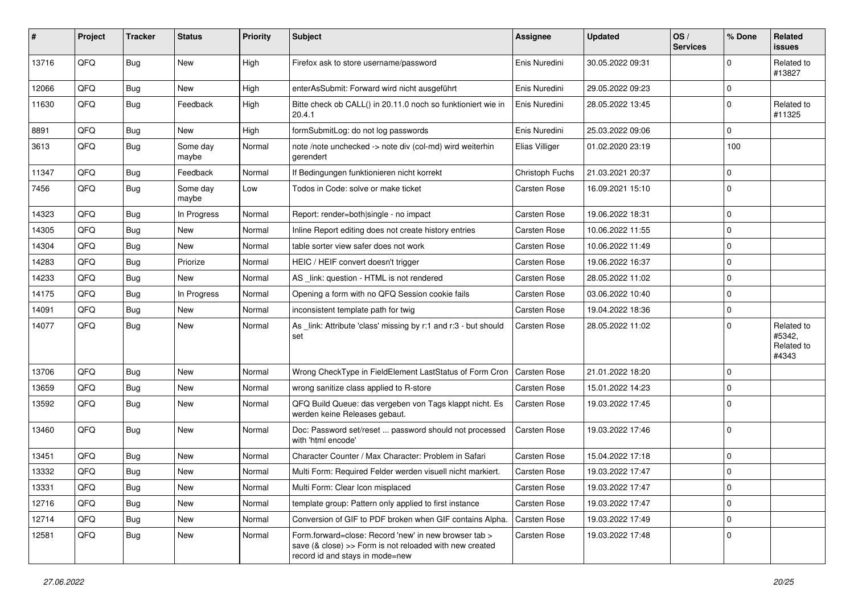| #     | Project | <b>Tracker</b> | <b>Status</b>     | <b>Priority</b> | <b>Subject</b>                                                                                                                                      | Assignee            | <b>Updated</b>   | OS/<br><b>Services</b> | % Done      | Related<br><b>issues</b>                    |
|-------|---------|----------------|-------------------|-----------------|-----------------------------------------------------------------------------------------------------------------------------------------------------|---------------------|------------------|------------------------|-------------|---------------------------------------------|
| 13716 | QFQ     | <b>Bug</b>     | <b>New</b>        | High            | Firefox ask to store username/password                                                                                                              | Enis Nuredini       | 30.05.2022 09:31 |                        | $\Omega$    | Related to<br>#13827                        |
| 12066 | QFQ     | Bug            | <b>New</b>        | High            | enterAsSubmit: Forward wird nicht ausgeführt                                                                                                        | Enis Nuredini       | 29.05.2022 09:23 |                        | $\mathbf 0$ |                                             |
| 11630 | QFQ     | Bug            | Feedback          | High            | Bitte check ob CALL() in 20.11.0 noch so funktioniert wie in<br>20.4.1                                                                              | Enis Nuredini       | 28.05.2022 13:45 |                        | $\mathbf 0$ | Related to<br>#11325                        |
| 8891  | QFQ     | <b>Bug</b>     | <b>New</b>        | High            | formSubmitLog: do not log passwords                                                                                                                 | Enis Nuredini       | 25.03.2022 09:06 |                        | $\mathbf 0$ |                                             |
| 3613  | QFQ     | <b>Bug</b>     | Some day<br>maybe | Normal          | note /note unchecked -> note div (col-md) wird weiterhin<br>gerendert                                                                               | Elias Villiger      | 01.02.2020 23:19 |                        | 100         |                                             |
| 11347 | QFQ     | <b>Bug</b>     | Feedback          | Normal          | If Bedingungen funktionieren nicht korrekt                                                                                                          | Christoph Fuchs     | 21.03.2021 20:37 |                        | $\mathbf 0$ |                                             |
| 7456  | QFQ     | <b>Bug</b>     | Some day<br>maybe | Low             | Todos in Code: solve or make ticket                                                                                                                 | Carsten Rose        | 16.09.2021 15:10 |                        | $\mathbf 0$ |                                             |
| 14323 | QFQ     | <b>Bug</b>     | In Progress       | Normal          | Report: render=both single - no impact                                                                                                              | <b>Carsten Rose</b> | 19.06.2022 18:31 |                        | $\mathbf 0$ |                                             |
| 14305 | QFQ     | <b>Bug</b>     | <b>New</b>        | Normal          | Inline Report editing does not create history entries                                                                                               | <b>Carsten Rose</b> | 10.06.2022 11:55 |                        | $\mathbf 0$ |                                             |
| 14304 | QFQ     | <b>Bug</b>     | <b>New</b>        | Normal          | table sorter view safer does not work                                                                                                               | <b>Carsten Rose</b> | 10.06.2022 11:49 |                        | $\mathbf 0$ |                                             |
| 14283 | QFQ     | <b>Bug</b>     | Priorize          | Normal          | HEIC / HEIF convert doesn't trigger                                                                                                                 | Carsten Rose        | 19.06.2022 16:37 |                        | $\mathbf 0$ |                                             |
| 14233 | QFQ     | <b>Bug</b>     | New               | Normal          | AS link: question - HTML is not rendered                                                                                                            | Carsten Rose        | 28.05.2022 11:02 |                        | $\mathbf 0$ |                                             |
| 14175 | QFQ     | <b>Bug</b>     | In Progress       | Normal          | Opening a form with no QFQ Session cookie fails                                                                                                     | <b>Carsten Rose</b> | 03.06.2022 10:40 |                        | $\mathbf 0$ |                                             |
| 14091 | QFQ     | <b>Bug</b>     | New               | Normal          | inconsistent template path for twig                                                                                                                 | Carsten Rose        | 19.04.2022 18:36 |                        | $\mathbf 0$ |                                             |
| 14077 | QFQ     | <b>Bug</b>     | <b>New</b>        | Normal          | As _link: Attribute 'class' missing by r:1 and r:3 - but should<br>set                                                                              | <b>Carsten Rose</b> | 28.05.2022 11:02 |                        | $\mathbf 0$ | Related to<br>#5342.<br>Related to<br>#4343 |
| 13706 | QFQ     | <b>Bug</b>     | <b>New</b>        | Normal          | Wrong CheckType in FieldElement LastStatus of Form Cron                                                                                             | <b>Carsten Rose</b> | 21.01.2022 18:20 |                        | $\mathbf 0$ |                                             |
| 13659 | QFQ     | Bug            | <b>New</b>        | Normal          | wrong sanitize class applied to R-store                                                                                                             | Carsten Rose        | 15.01.2022 14:23 |                        | $\mathbf 0$ |                                             |
| 13592 | QFQ     | Bug            | New               | Normal          | QFQ Build Queue: das vergeben von Tags klappt nicht. Es<br>werden keine Releases gebaut.                                                            | <b>Carsten Rose</b> | 19.03.2022 17:45 |                        | $\mathbf 0$ |                                             |
| 13460 | QFQ     | <b>Bug</b>     | <b>New</b>        | Normal          | Doc: Password set/reset  password should not processed<br>with 'html encode'                                                                        | Carsten Rose        | 19.03.2022 17:46 |                        | $\mathbf 0$ |                                             |
| 13451 | QFQ     | Bug            | New               | Normal          | Character Counter / Max Character: Problem in Safari                                                                                                | Carsten Rose        | 15.04.2022 17:18 |                        | $\mathbf 0$ |                                             |
| 13332 | QFQ     | <b>Bug</b>     | New               | Normal          | Multi Form: Required Felder werden visuell nicht markiert.                                                                                          | <b>Carsten Rose</b> | 19.03.2022 17:47 |                        | $\mathbf 0$ |                                             |
| 13331 | QFO     | <b>Bug</b>     | New               | Normal          | Multi Form: Clear Icon misplaced                                                                                                                    | <b>Carsten Rose</b> | 19.03.2022 17:47 |                        | 0           |                                             |
| 12716 | QFG     | <b>Bug</b>     | New               | Normal          | template group: Pattern only applied to first instance                                                                                              | Carsten Rose        | 19.03.2022 17:47 |                        | $\mathbf 0$ |                                             |
| 12714 | QFQ     | Bug            | New               | Normal          | Conversion of GIF to PDF broken when GIF contains Alpha.                                                                                            | Carsten Rose        | 19.03.2022 17:49 |                        | $\mathbf 0$ |                                             |
| 12581 | QFQ     | <b>Bug</b>     | New               | Normal          | Form.forward=close: Record 'new' in new browser tab ><br>save (& close) >> Form is not reloaded with new created<br>record id and stays in mode=new | <b>Carsten Rose</b> | 19.03.2022 17:48 |                        | $\mathbf 0$ |                                             |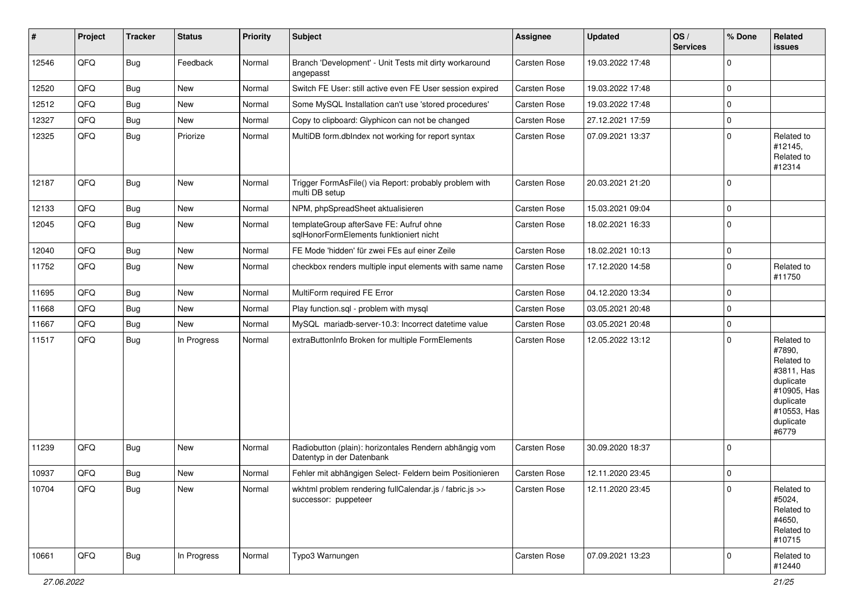| #     | Project | <b>Tracker</b> | <b>Status</b> | Priority | <b>Subject</b>                                                                      | <b>Assignee</b>     | <b>Updated</b>   | OS/<br><b>Services</b> | % Done         | Related<br><b>issues</b>                                                                                                       |
|-------|---------|----------------|---------------|----------|-------------------------------------------------------------------------------------|---------------------|------------------|------------------------|----------------|--------------------------------------------------------------------------------------------------------------------------------|
| 12546 | QFQ     | Bug            | Feedback      | Normal   | Branch 'Development' - Unit Tests mit dirty workaround<br>angepasst                 | Carsten Rose        | 19.03.2022 17:48 |                        | $\Omega$       |                                                                                                                                |
| 12520 | QFQ     | Bug            | <b>New</b>    | Normal   | Switch FE User: still active even FE User session expired                           | Carsten Rose        | 19.03.2022 17:48 |                        | $\mathbf 0$    |                                                                                                                                |
| 12512 | QFQ     | Bug            | <b>New</b>    | Normal   | Some MySQL Installation can't use 'stored procedures'                               | <b>Carsten Rose</b> | 19.03.2022 17:48 |                        | 0              |                                                                                                                                |
| 12327 | QFQ     | <b>Bug</b>     | <b>New</b>    | Normal   | Copy to clipboard: Glyphicon can not be changed                                     | <b>Carsten Rose</b> | 27.12.2021 17:59 |                        | $\mathbf 0$    |                                                                                                                                |
| 12325 | QFQ     | Bug            | Priorize      | Normal   | MultiDB form.dblndex not working for report syntax                                  | Carsten Rose        | 07.09.2021 13:37 |                        | $\mathbf 0$    | Related to<br>#12145,<br>Related to<br>#12314                                                                                  |
| 12187 | QFQ     | Bug            | <b>New</b>    | Normal   | Trigger FormAsFile() via Report: probably problem with<br>multi DB setup            | Carsten Rose        | 20.03.2021 21:20 |                        | $\mathbf 0$    |                                                                                                                                |
| 12133 | QFQ     | Bug            | <b>New</b>    | Normal   | NPM, phpSpreadSheet aktualisieren                                                   | <b>Carsten Rose</b> | 15.03.2021 09:04 |                        | $\mathbf 0$    |                                                                                                                                |
| 12045 | QFQ     | Bug            | New           | Normal   | templateGroup afterSave FE: Aufruf ohne<br>sqlHonorFormElements funktioniert nicht  | Carsten Rose        | 18.02.2021 16:33 |                        | $\mathbf 0$    |                                                                                                                                |
| 12040 | QFQ     | <b>Bug</b>     | <b>New</b>    | Normal   | FE Mode 'hidden' für zwei FEs auf einer Zeile                                       | <b>Carsten Rose</b> | 18.02.2021 10:13 |                        | $\mathbf 0$    |                                                                                                                                |
| 11752 | QFQ     | Bug            | <b>New</b>    | Normal   | checkbox renders multiple input elements with same name                             | <b>Carsten Rose</b> | 17.12.2020 14:58 |                        | 0              | Related to<br>#11750                                                                                                           |
| 11695 | QFQ     | Bug            | New           | Normal   | MultiForm required FE Error                                                         | <b>Carsten Rose</b> | 04.12.2020 13:34 |                        | $\mathbf 0$    |                                                                                                                                |
| 11668 | QFQ     | <b>Bug</b>     | New           | Normal   | Play function.sql - problem with mysql                                              | Carsten Rose        | 03.05.2021 20:48 |                        | $\mathbf 0$    |                                                                                                                                |
| 11667 | QFQ     | <b>Bug</b>     | <b>New</b>    | Normal   | MySQL mariadb-server-10.3: Incorrect datetime value                                 | <b>Carsten Rose</b> | 03.05.2021 20:48 |                        | $\mathbf 0$    |                                                                                                                                |
| 11517 | QFQ     | Bug            | In Progress   | Normal   | extraButtonInfo Broken for multiple FormElements                                    | Carsten Rose        | 12.05.2022 13:12 |                        | $\mathbf 0$    | Related to<br>#7890,<br>Related to<br>#3811, Has<br>duplicate<br>#10905, Has<br>duplicate<br>#10553, Has<br>duplicate<br>#6779 |
| 11239 | QFQ     | Bug            | <b>New</b>    | Normal   | Radiobutton (plain): horizontales Rendern abhängig vom<br>Datentyp in der Datenbank | Carsten Rose        | 30.09.2020 18:37 |                        | $\mathbf 0$    |                                                                                                                                |
| 10937 | QFQ     | Bug            | <b>New</b>    | Normal   | Fehler mit abhängigen Select- Feldern beim Positionieren                            | <b>Carsten Rose</b> | 12.11.2020 23:45 |                        | $\mathbf 0$    |                                                                                                                                |
| 10704 | QFQ     | Bug            | New           | Normal   | wkhtml problem rendering fullCalendar.js / fabric.js >><br>successor: puppeteer     | Carsten Rose        | 12.11.2020 23:45 |                        | $\overline{0}$ | Related to<br>#5024,<br>Related to<br>#4650,<br>Related to<br>#10715                                                           |
| 10661 | QFQ     | Bug            | In Progress   | Normal   | Typo3 Warnungen                                                                     | Carsten Rose        | 07.09.2021 13:23 |                        | $\mathbf 0$    | Related to<br>#12440                                                                                                           |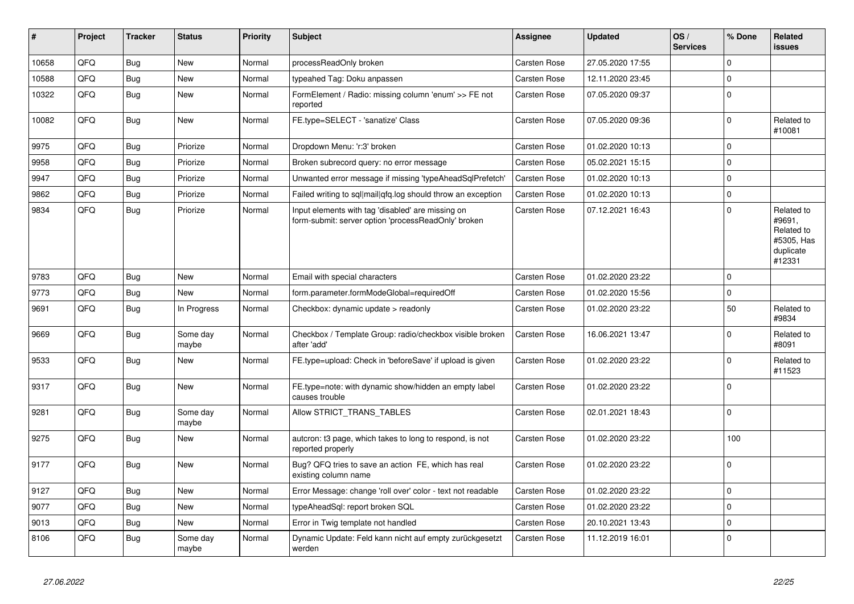| #     | Project | <b>Tracker</b> | <b>Status</b>     | <b>Priority</b> | <b>Subject</b>                                                                                           | Assignee            | <b>Updated</b>   | OS/<br><b>Services</b> | % Done      | Related<br><b>issues</b>                                                |
|-------|---------|----------------|-------------------|-----------------|----------------------------------------------------------------------------------------------------------|---------------------|------------------|------------------------|-------------|-------------------------------------------------------------------------|
| 10658 | QFQ     | Bug            | <b>New</b>        | Normal          | processReadOnly broken                                                                                   | Carsten Rose        | 27.05.2020 17:55 |                        | $\Omega$    |                                                                         |
| 10588 | QFQ     | <b>Bug</b>     | <b>New</b>        | Normal          | typeahed Tag: Doku anpassen                                                                              | <b>Carsten Rose</b> | 12.11.2020 23:45 |                        | $\mathbf 0$ |                                                                         |
| 10322 | QFQ     | <b>Bug</b>     | <b>New</b>        | Normal          | FormElement / Radio: missing column 'enum' >> FE not<br>reported                                         | Carsten Rose        | 07.05.2020 09:37 |                        | $\mathbf 0$ |                                                                         |
| 10082 | QFQ     | Bug            | <b>New</b>        | Normal          | FE.type=SELECT - 'sanatize' Class                                                                        | Carsten Rose        | 07.05.2020 09:36 |                        | $\mathbf 0$ | Related to<br>#10081                                                    |
| 9975  | QFQ     | <b>Bug</b>     | Priorize          | Normal          | Dropdown Menu: 'r:3' broken                                                                              | <b>Carsten Rose</b> | 01.02.2020 10:13 |                        | $\mathbf 0$ |                                                                         |
| 9958  | QFQ     | <b>Bug</b>     | Priorize          | Normal          | Broken subrecord query: no error message                                                                 | Carsten Rose        | 05.02.2021 15:15 |                        | $\mathbf 0$ |                                                                         |
| 9947  | QFQ     | <b>Bug</b>     | Priorize          | Normal          | Unwanted error message if missing 'typeAheadSglPrefetch'                                                 | <b>Carsten Rose</b> | 01.02.2020 10:13 |                        | $\mathbf 0$ |                                                                         |
| 9862  | QFQ     | Bug            | Priorize          | Normal          | Failed writing to sql mail qfq.log should throw an exception                                             | Carsten Rose        | 01.02.2020 10:13 |                        | $\pmb{0}$   |                                                                         |
| 9834  | QFQ     | <b>Bug</b>     | Priorize          | Normal          | Input elements with tag 'disabled' are missing on<br>form-submit: server option 'processReadOnly' broken | <b>Carsten Rose</b> | 07.12.2021 16:43 |                        | $\mathbf 0$ | Related to<br>#9691,<br>Related to<br>#5305, Has<br>duplicate<br>#12331 |
| 9783  | QFQ     | <b>Bug</b>     | <b>New</b>        | Normal          | Email with special characters                                                                            | Carsten Rose        | 01.02.2020 23:22 |                        | $\Omega$    |                                                                         |
| 9773  | QFQ     | Bug            | <b>New</b>        | Normal          | form.parameter.formModeGlobal=requiredOff                                                                | Carsten Rose        | 01.02.2020 15:56 |                        | $\mathbf 0$ |                                                                         |
| 9691  | QFQ     | Bug            | In Progress       | Normal          | Checkbox: dynamic update > readonly                                                                      | <b>Carsten Rose</b> | 01.02.2020 23:22 |                        | 50          | Related to<br>#9834                                                     |
| 9669  | QFQ     | Bug            | Some day<br>maybe | Normal          | Checkbox / Template Group: radio/checkbox visible broken<br>after 'add'                                  | Carsten Rose        | 16.06.2021 13:47 |                        | $\pmb{0}$   | Related to<br>#8091                                                     |
| 9533  | QFQ     | Bug            | New               | Normal          | FE.type=upload: Check in 'beforeSave' if upload is given                                                 | <b>Carsten Rose</b> | 01.02.2020 23:22 |                        | $\mathbf 0$ | Related to<br>#11523                                                    |
| 9317  | QFQ     | <b>Bug</b>     | New               | Normal          | FE.type=note: with dynamic show/hidden an empty label<br>causes trouble                                  | Carsten Rose        | 01.02.2020 23:22 |                        | $\mathbf 0$ |                                                                         |
| 9281  | QFQ     | <b>Bug</b>     | Some day<br>maybe | Normal          | Allow STRICT_TRANS_TABLES                                                                                | Carsten Rose        | 02.01.2021 18:43 |                        | $\mathbf 0$ |                                                                         |
| 9275  | QFQ     | <b>Bug</b>     | New               | Normal          | autcron: t3 page, which takes to long to respond, is not<br>reported properly                            | Carsten Rose        | 01.02.2020 23:22 |                        | 100         |                                                                         |
| 9177  | QFQ     | <b>Bug</b>     | New               | Normal          | Bug? QFQ tries to save an action FE, which has real<br>existing column name                              | Carsten Rose        | 01.02.2020 23:22 |                        | $\mathbf 0$ |                                                                         |
| 9127  | QFQ     | Bug            | <b>New</b>        | Normal          | Error Message: change 'roll over' color - text not readable                                              | <b>Carsten Rose</b> | 01.02.2020 23:22 |                        | $\mathbf 0$ |                                                                         |
| 9077  | QFQ     | Bug            | New               | Normal          | typeAheadSql: report broken SQL                                                                          | <b>Carsten Rose</b> | 01.02.2020 23:22 |                        | $\mathbf 0$ |                                                                         |
| 9013  | QFQ     | <b>Bug</b>     | New               | Normal          | Error in Twig template not handled                                                                       | Carsten Rose        | 20.10.2021 13:43 |                        | $\pmb{0}$   |                                                                         |
| 8106  | QFQ     | <b>Bug</b>     | Some day<br>maybe | Normal          | Dynamic Update: Feld kann nicht auf empty zurückgesetzt<br>werden                                        | Carsten Rose        | 11.12.2019 16:01 |                        | $\Omega$    |                                                                         |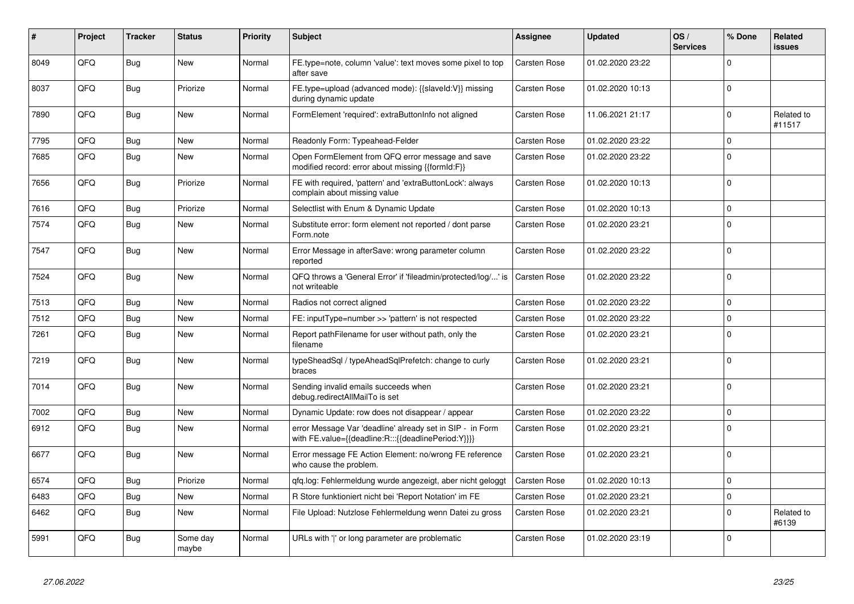| #    | Project | <b>Tracker</b> | <b>Status</b>     | <b>Priority</b> | <b>Subject</b>                                                                                                   | <b>Assignee</b>     | <b>Updated</b>   | OS/<br><b>Services</b> | % Done         | Related<br><b>issues</b> |
|------|---------|----------------|-------------------|-----------------|------------------------------------------------------------------------------------------------------------------|---------------------|------------------|------------------------|----------------|--------------------------|
| 8049 | QFQ     | <b>Bug</b>     | <b>New</b>        | Normal          | FE.type=note, column 'value': text moves some pixel to top<br>after save                                         | Carsten Rose        | 01.02.2020 23:22 |                        | $\Omega$       |                          |
| 8037 | QFQ     | Bug            | Priorize          | Normal          | FE.type=upload (advanced mode): {{slaveld:V}} missing<br>during dynamic update                                   | Carsten Rose        | 01.02.2020 10:13 |                        | $\mathbf{0}$   |                          |
| 7890 | QFQ     | <b>Bug</b>     | <b>New</b>        | Normal          | FormElement 'required': extraButtonInfo not aligned                                                              | Carsten Rose        | 11.06.2021 21:17 |                        | $\Omega$       | Related to<br>#11517     |
| 7795 | QFQ     | Bug            | <b>New</b>        | Normal          | Readonly Form: Typeahead-Felder                                                                                  | Carsten Rose        | 01.02.2020 23:22 |                        | $\mathbf 0$    |                          |
| 7685 | QFQ     | <b>Bug</b>     | New               | Normal          | Open FormElement from QFQ error message and save<br>modified record: error about missing {{formId:F}}            | Carsten Rose        | 01.02.2020 23:22 |                        | $\Omega$       |                          |
| 7656 | QFQ     | <b>Bug</b>     | Priorize          | Normal          | FE with required, 'pattern' and 'extraButtonLock': always<br>complain about missing value                        | Carsten Rose        | 01.02.2020 10:13 |                        | $\Omega$       |                          |
| 7616 | QFQ     | Bug            | Priorize          | Normal          | Selectlist with Enum & Dynamic Update                                                                            | Carsten Rose        | 01.02.2020 10:13 |                        | $\mathbf{0}$   |                          |
| 7574 | QFQ     | Bug            | <b>New</b>        | Normal          | Substitute error: form element not reported / dont parse<br>Form.note                                            | Carsten Rose        | 01.02.2020 23:21 |                        | $\overline{0}$ |                          |
| 7547 | QFQ     | <b>Bug</b>     | New               | Normal          | Error Message in afterSave: wrong parameter column<br>reported                                                   | Carsten Rose        | 01.02.2020 23:22 |                        | $\mathbf 0$    |                          |
| 7524 | QFQ     | Bug            | <b>New</b>        | Normal          | QFQ throws a 'General Error' if 'fileadmin/protected/log/' is<br>not writeable                                   | <b>Carsten Rose</b> | 01.02.2020 23:22 |                        | $\Omega$       |                          |
| 7513 | QFQ     | Bug            | <b>New</b>        | Normal          | Radios not correct aligned                                                                                       | Carsten Rose        | 01.02.2020 23:22 |                        | $\Omega$       |                          |
| 7512 | QFQ     | Bug            | <b>New</b>        | Normal          | FE: inputType=number >> 'pattern' is not respected                                                               | Carsten Rose        | 01.02.2020 23:22 |                        | $\Omega$       |                          |
| 7261 | QFQ     | Bug            | <b>New</b>        | Normal          | Report pathFilename for user without path, only the<br>filename                                                  | Carsten Rose        | 01.02.2020 23:21 |                        | $\Omega$       |                          |
| 7219 | QFQ     | <b>Bug</b>     | <b>New</b>        | Normal          | typeSheadSql / typeAheadSqlPrefetch: change to curly<br>braces                                                   | Carsten Rose        | 01.02.2020 23:21 |                        | $\Omega$       |                          |
| 7014 | QFQ     | Bug            | <b>New</b>        | Normal          | Sending invalid emails succeeds when<br>debug.redirectAllMailTo is set                                           | Carsten Rose        | 01.02.2020 23:21 |                        | $\Omega$       |                          |
| 7002 | QFQ     | Bug            | <b>New</b>        | Normal          | Dynamic Update: row does not disappear / appear                                                                  | Carsten Rose        | 01.02.2020 23:22 |                        | $\Omega$       |                          |
| 6912 | QFQ     | Bug            | <b>New</b>        | Normal          | error Message Var 'deadline' already set in SIP - in Form<br>with FE.value={{deadline:R:::{{deadlinePeriod:Y}}}} | <b>Carsten Rose</b> | 01.02.2020 23:21 |                        | $\Omega$       |                          |
| 6677 | QFQ     | <b>Bug</b>     | New               | Normal          | Error message FE Action Element: no/wrong FE reference<br>who cause the problem.                                 | Carsten Rose        | 01.02.2020 23:21 |                        | $\Omega$       |                          |
| 6574 | QFQ     | Bug            | Priorize          | Normal          | gfg.log: Fehlermeldung wurde angezeigt, aber nicht geloggt                                                       | Carsten Rose        | 01.02.2020 10:13 |                        | $\Omega$       |                          |
| 6483 | QFQ     | <b>Bug</b>     | <b>New</b>        | Normal          | R Store funktioniert nicht bei 'Report Notation' im FE                                                           | Carsten Rose        | 01.02.2020 23:21 |                        | $\mathbf 0$    |                          |
| 6462 | QFQ     | <b>Bug</b>     | <b>New</b>        | Normal          | File Upload: Nutzlose Fehlermeldung wenn Datei zu gross                                                          | <b>Carsten Rose</b> | 01.02.2020 23:21 |                        | $\Omega$       | Related to<br>#6139      |
| 5991 | QFQ     | Bug            | Some day<br>maybe | Normal          | URLs with ' ' or long parameter are problematic                                                                  | Carsten Rose        | 01.02.2020 23:19 |                        | $\Omega$       |                          |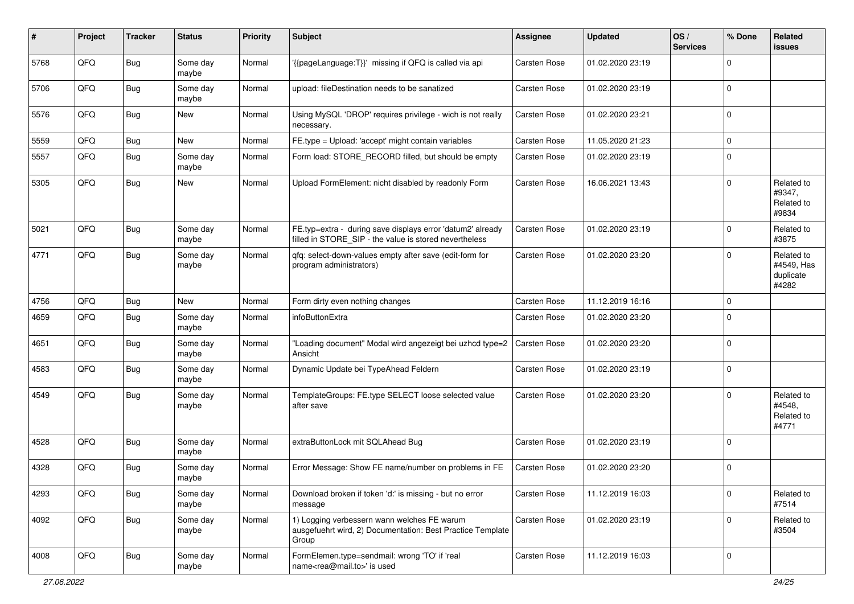| #    | Project | <b>Tracker</b> | <b>Status</b>     | <b>Priority</b> | <b>Subject</b>                                                                                                       | <b>Assignee</b>     | <b>Updated</b>   | OS/<br><b>Services</b> | % Done      | Related<br>issues                              |
|------|---------|----------------|-------------------|-----------------|----------------------------------------------------------------------------------------------------------------------|---------------------|------------------|------------------------|-------------|------------------------------------------------|
| 5768 | QFQ     | Bug            | Some day<br>maybe | Normal          | '{{pageLanguage:T}}' missing if QFQ is called via api                                                                | Carsten Rose        | 01.02.2020 23:19 |                        | $\mathbf 0$ |                                                |
| 5706 | QFQ     | Bug            | Some day<br>maybe | Normal          | upload: fileDestination needs to be sanatized                                                                        | Carsten Rose        | 01.02.2020 23:19 |                        | $\mathbf 0$ |                                                |
| 5576 | QFQ     | Bug            | <b>New</b>        | Normal          | Using MySQL 'DROP' requires privilege - wich is not really<br>necessary.                                             | Carsten Rose        | 01.02.2020 23:21 |                        | $\mathbf 0$ |                                                |
| 5559 | QFQ     | <b>Bug</b>     | New               | Normal          | FE.type = Upload: 'accept' might contain variables                                                                   | <b>Carsten Rose</b> | 11.05.2020 21:23 |                        | $\mathbf 0$ |                                                |
| 5557 | QFQ     | <b>Bug</b>     | Some day<br>maybe | Normal          | Form load: STORE_RECORD filled, but should be empty                                                                  | Carsten Rose        | 01.02.2020 23:19 |                        | $\mathbf 0$ |                                                |
| 5305 | QFQ     | <b>Bug</b>     | <b>New</b>        | Normal          | Upload FormElement: nicht disabled by readonly Form                                                                  | Carsten Rose        | 16.06.2021 13:43 |                        | $\mathbf 0$ | Related to<br>#9347,<br>Related to<br>#9834    |
| 5021 | QFQ     | Bug            | Some day<br>maybe | Normal          | FE.typ=extra - during save displays error 'datum2' already<br>filled in STORE_SIP - the value is stored nevertheless | Carsten Rose        | 01.02.2020 23:19 |                        | $\mathbf 0$ | Related to<br>#3875                            |
| 4771 | QFQ     | Bug            | Some day<br>maybe | Normal          | gfg: select-down-values empty after save (edit-form for<br>program administrators)                                   | Carsten Rose        | 01.02.2020 23:20 |                        | $\mathbf 0$ | Related to<br>#4549, Has<br>duplicate<br>#4282 |
| 4756 | QFQ     | Bug            | <b>New</b>        | Normal          | Form dirty even nothing changes                                                                                      | <b>Carsten Rose</b> | 11.12.2019 16:16 |                        | $\pmb{0}$   |                                                |
| 4659 | QFQ     | <b>Bug</b>     | Some day<br>maybe | Normal          | infoButtonExtra                                                                                                      | <b>Carsten Rose</b> | 01.02.2020 23:20 |                        | $\mathbf 0$ |                                                |
| 4651 | QFQ     | Bug            | Some day<br>maybe | Normal          | "Loading document" Modal wird angezeigt bei uzhcd type=2<br>Ansicht                                                  | <b>Carsten Rose</b> | 01.02.2020 23:20 |                        | $\pmb{0}$   |                                                |
| 4583 | QFQ     | Bug            | Some day<br>maybe | Normal          | Dynamic Update bei TypeAhead Feldern                                                                                 | <b>Carsten Rose</b> | 01.02.2020 23:19 |                        | $\mathbf 0$ |                                                |
| 4549 | QFQ     | Bug            | Some day<br>maybe | Normal          | TemplateGroups: FE.type SELECT loose selected value<br>after save                                                    | Carsten Rose        | 01.02.2020 23:20 |                        | $\mathbf 0$ | Related to<br>#4548,<br>Related to<br>#4771    |
| 4528 | QFQ     | Bug            | Some day<br>maybe | Normal          | extraButtonLock mit SQLAhead Bug                                                                                     | Carsten Rose        | 01.02.2020 23:19 |                        | $\mathbf 0$ |                                                |
| 4328 | QFQ     | <b>Bug</b>     | Some day<br>maybe | Normal          | Error Message: Show FE name/number on problems in FE                                                                 | Carsten Rose        | 01.02.2020 23:20 |                        | $\mathbf 0$ |                                                |
| 4293 | QFQ     | <b>Bug</b>     | Some day<br>maybe | Normal          | Download broken if token 'd:' is missing - but no error<br>message                                                   | Carsten Rose        | 11.12.2019 16:03 |                        | $\pmb{0}$   | Related to<br>#7514                            |
| 4092 | QFQ     | <b>Bug</b>     | Some day<br>maybe | Normal          | 1) Logging verbessern wann welches FE warum<br>ausgefuehrt wird, 2) Documentation: Best Practice Template<br>Group   | Carsten Rose        | 01.02.2020 23:19 |                        | $\mathbf 0$ | Related to<br>#3504                            |
| 4008 | QFQ     | <b>Bug</b>     | Some day<br>maybe | Normal          | FormElemen.type=sendmail: wrong 'TO' if 'real<br>name <rea@mail.to>' is used</rea@mail.to>                           | Carsten Rose        | 11.12.2019 16:03 |                        | $\pmb{0}$   |                                                |